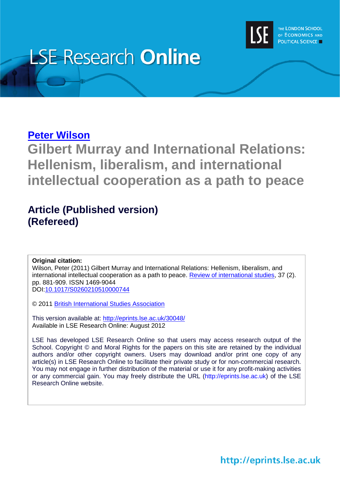

# **LSE Research Online**

## **[Peter Wilson](http://www2.lse.ac.uk/researchAndExpertise/Experts/profile.aspx?KeyValue=p.c.wilson@lse.ac.uk)**

**Gilbert Murray and International Relations: Hellenism, liberalism, and international intellectual cooperation as a path to peace**

## **Article (Published version) (Refereed)**

### **Original citation:**

Wilson, Peter (2011) Gilbert Murray and International Relations: Hellenism, liberalism, and international intellectual cooperation as a path to peace. [Review of international studies,](http://journals.cambridge.org/action/login) 37 (2). pp. 881-909. ISSN 1469-9044 DOI[:10.1017/S0260210510000744](http://dx.doi.org/10.1017/S0260210510000744)

© 2011 [British International Studies Association](http://www.bisa.ac.uk/)

This version available at:<http://eprints.lse.ac.uk/30048/> Available in LSE Research Online: August 2012

LSE has developed LSE Research Online so that users may access research output of the School. Copyright © and Moral Rights for the papers on this site are retained by the individual authors and/or other copyright owners. Users may download and/or print one copy of any article(s) in LSE Research Online to facilitate their private study or for non-commercial research. You may not engage in further distribution of the material or use it for any profit-making activities or any commercial gain. You may freely distribute the URL (http://eprints.lse.ac.uk) of the LSE Research Online website.

http://eprints.lse.ac.uk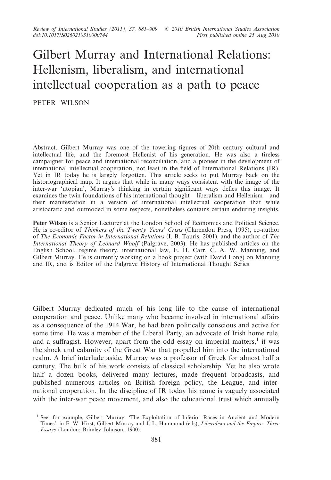*Review of International Studies (2011), 37, 881–909 2010 British International Studies Association*

## Gilbert Murray and International Relations: Hellenism, liberalism, and international intellectual cooperation as a path to peace

PETER WILSON

Abstract. Gilbert Murray was one of the towering figures of 20th century cultural and intellectual life, and the foremost Hellenist of his generation. He was also a tireless campaigner for peace and international reconciliation, and a pioneer in the development of international intellectual cooperation, not least in the field of International Relations (IR). Yet in IR today he is largely forgotten. This article seeks to put Murray back on the historiographical map. It argues that while in many ways consistent with the image of the inter-war 'utopian', Murray's thinking in certain significant ways defies this image. It examines the twin foundations of his international thought – liberalism and Hellenism – and their manifestation in a version of international intellectual cooperation that while aristocratic and outmoded in some respects, nonetheless contains certain enduring insights.

**Peter Wilson** is a Senior Lecturer at the London School of Economics and Political Science. He is co-editor of *Thinkers of the Twenty Years' Crisis* (Clarendon Press, 1995), co-author of *The Economic Factor in International Relations* (I. B. Tauris, 2001), and the author of *The International Theory of Leonard Woolf* (Palgrave, 2003). He has published articles on the English School, regime theory, international law, E. H. Carr, C. A. W. Manning, and Gilbert Murray. He is currently working on a book project (with David Long) on Manning and IR, and is Editor of the Palgrave History of International Thought Series.

Gilbert Murray dedicated much of his long life to the cause of international cooperation and peace. Unlike many who became involved in international affairs as a consequence of the 1914 War, he had been politically conscious and active for some time. He was a member of the Liberal Party, an advocate of Irish home rule, and a suffragist. However, apart from the odd essay on imperial matters,<sup>1</sup> it was the shock and calamity of the Great War that propelled him into the international realm. A brief interlude aside, Murray was a professor of Greek for almost half a century. The bulk of his work consists of classical scholarship. Yet he also wrote half a dozen books, delivered many lectures, made frequent broadcasts, and published numerous articles on British foreign policy, the League, and international cooperation. In the discipline of IR today his name is vaguely associated with the inter-war peace movement, and also the educational trust which annually

<sup>&</sup>lt;sup>1</sup> See, for example, Gilbert Murray, 'The Exploitation of Inferior Races in Ancient and Modern Times', in F. W. Hirst, Gilbert Murray and J. L. Hammond (eds), *Liberalism and the Empire: Three Essays* (London: Brimley Johnson, 1900).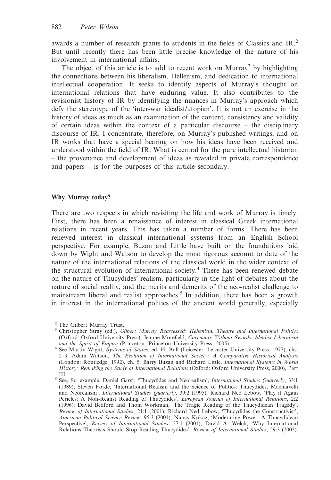awards a number of research grants to students in the fields of Classics and IR.2 But until recently there has been little precise knowledge of the nature of his involvement in international affairs.

The object of this article is to add to recent work on Murray<sup>3</sup> by highlighting the connections between his liberalism, Hellenism, and dedication to international intellectual cooperation. It seeks to identify aspects of Murray's thought on international relations that have enduring value. It also contributes to the revisionist history of IR by identifying the nuances in Murray's approach which defy the stereotype of the 'inter-war idealist/utopian'. It is not an exercise in the history of ideas as much as an examination of the content, consistency and validity of certain ideas within the context of a particular discourse – the disciplinary discourse of IR. I concentrate, therefore, on Murray's published writings, and on IR works that have a special bearing on how his ideas have been received and understood within the field of IR. What is central for the pure intellectual historian – the provenance and development of ideas as revealed in private correspondence and papers – is for the purposes of this article secondary.

#### **Why Murray today?**

There are two respects in which revisiting the life and work of Murray is timely. First, there has been a renaissance of interest in classical Greek international relations in recent years. This has taken a number of forms. There has been renewed interest in classical international systems from an English School perspective. For example, Buzan and Little have built on the foundations laid down by Wight and Watson to develop the most rigorous account to date of the nature of the international relations of the classical world in the wider context of the structural evolution of international society.4 There has been renewed debate on the nature of Thucydides' realism, particularly in the light of debates about the nature of social reality, and the merits and demerits of the neo-realist challenge to mainstream liberal and realist approaches.<sup>5</sup> In addition, there has been a growth in interest in the international politics of the ancient world generally, especially

<sup>&</sup>lt;sup>2</sup> The Gilbert Murray Trust.<br><sup>3</sup> Christopher Stray (ed.), *Gilbert Murray Reassessed: Hellenism, Theatre and International Politics* (Oxford: Oxford University Press); Jeanne Morefield, *Covenants Without Swords: Idealist Liberalism*

<sup>&</sup>lt;sup>4</sup> See Martin Wight, *Systems of States*, ed. H. Bull (Leicester: Leicester University Press, 1977), chs. 2–3; Adam Watson, *The Evolution of International Society: A Comparative Historical Analysis* (London: Routledge, 1992), ch. 5; Barry Buzan and Richard Little, *International Systems in World History: Remaking the Study of International Relations* (Oxford: Oxford University Press, 2000), Part

<sup>&</sup>lt;sup>5</sup> See, for example, Daniel Garst, 'Thucydides and Neorealism', *International Studies Quarterly*, 33:1 (1989); Steven Forde, 'International Realism and the Science of Politics: Thucydides, Machiavelli and Neorealism', *International Studies Quarterly*, 39:2 (1995); Richard Ned Lebow, 'Play it Again Pericles: A Non-Realist Reading of Thucydides', *European Journal of International Relations*, 2:2 (1996); David Bedford and Thom Workman, 'The Tragic Reading of the Thucydidean Tragedy', *Review of International Studies*, 21:1 (2001); Richard Ned Lebow, 'Thucydides the Constructivist', *American Political Science Review*, 95:3 (2001); Nancy Kokaz, 'Moderating Power: A Thucydidean Perspective', *Review of International Studies*, 27:1 (2001); David A. Welch, 'Why International Relations Theorists Should Stop Reading Thucydides', *Review of International Studies*, 29:3 (2003).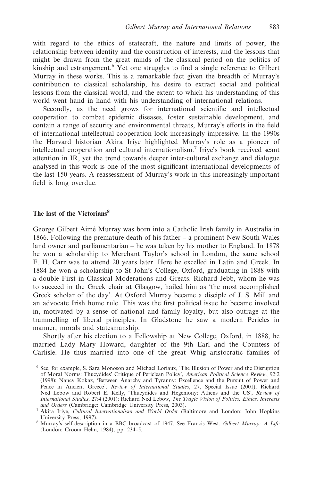with regard to the ethics of statecraft, the nature and limits of power, the relationship between identity and the construction of interests, and the lessons that might be drawn from the great minds of the classical period on the politics of kinship and estrangement.<sup>6</sup> Yet one struggles to find a single reference to Gilbert Murray in these works. This is a remarkable fact given the breadth of Murray's contribution to classical scholarship, his desire to extract social and political lessons from the classical world, and the extent to which his understanding of this world went hand in hand with his understanding of international relations.

Secondly, as the need grows for international scientific and intellectual cooperation to combat epidemic diseases, foster sustainable development, and contain a range of security and environmental threats, Murray's efforts in the field of international intellectual cooperation look increasingly impressive. In the 1990s the Harvard historian Akira Iriye highlighted Murray's role as a pioneer of intellectual cooperation and cultural internationalism.<sup>7</sup> Iriye's book received scant attention in IR, yet the trend towards deeper inter-cultural exchange and dialogue analysed in this work is one of the most significant international developments of the last 150 years. A reassessment of Murray's work in this increasingly important field is long overdue.

#### **The last of the Victorians8**

George Gilbert Aimé Murray was born into a Catholic Irish family in Australia in 1866. Following the premature death of his father – a prominent New South Wales land owner and parliamentarian – he was taken by his mother to England. In 1878 he won a scholarship to Merchant Taylor's school in London, the same school E. H. Carr was to attend 20 years later. Here he excelled in Latin and Greek. In 1884 he won a scholarship to St John's College, Oxford, graduating in 1888 with a double First in Classical Moderations and Greats. Richard Jebb, whom he was to succeed in the Greek chair at Glasgow, hailed him as 'the most accomplished Greek scholar of the day'. At Oxford Murray became a disciple of J. S. Mill and an advocate Irish home rule. This was the first political issue he became involved in, motivated by a sense of national and family loyalty, but also outrage at the trammelling of liberal principles. In Gladstone he saw a modern Pericles in manner, morals and statesmanship.

Shortly after his election to a Fellowship at New College, Oxford, in 1888, he married Lady Mary Howard, daughter of the 9th Earl and the Countess of Carlisle. He thus married into one of the great Whig aristocratic families of

<sup>6</sup> See, for example, S. Sara Monoson and Michael Loriaux, 'The Illusion of Power and the Disruption of Moral Norms: Thucydides' Critique of Periclean Policy', *American Political Science Review*, 92:2 (1998); Nancy Kokaz, 'Between Anarchy and Tyranny: Excellence and the Pursuit of Power and Peace in Ancient Greece', *Review of International Studies*, 27, Special Issue (2001); Richard Ned Lebow and Robert E. Kelly, 'Thucydides and Hegemony: Athens and the US', *Review of International Studies*, 27:4 (2001); Richard Ned Lebow, *The Tragic Vision of Politics: Ethics, Interests*

<sup>&</sup>lt;sup>7</sup> Akira Iriye, *Cultural Internationalism and World Order* (Baltimore and London: John Hopkins University Press, 1997).

<sup>&</sup>lt;sup>8</sup> Murray's self-description in a BBC broadcast of 1947. See Francis West, *Gilbert Murray: A Life* (London: Croom Helm, 1984), pp. 234–5.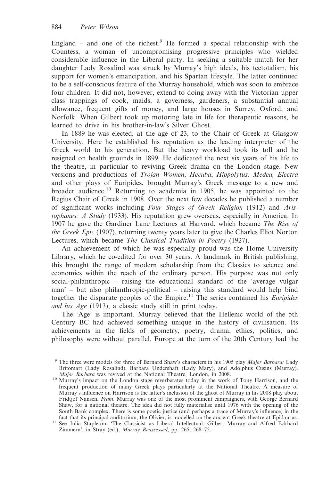England – and one of the richest.<sup>9</sup> He formed a special relationship with the Countess, a woman of uncompromising progressive principles who wielded considerable influence in the Liberal party. In seeking a suitable match for her daughter Lady Rosalind was struck by Murray's high ideals, his teetotalism, his support for women's emancipation, and his Spartan lifestyle. The latter continued to be a self-conscious feature of the Murray household, which was soon to embrace four children. It did not, however, extend to doing away with the Victorian upper class trappings of cook, maids, a governess, gardeners, a substantial annual allowance, frequent gifts of money, and large houses in Surrey, Oxford, and Norfolk. When Gilbert took up motoring late in life for therapeutic reasons, he learned to drive in his brother-in-law's Silver Ghost.

In 1889 he was elected, at the age of 23, to the Chair of Greek at Glasgow University. Here he established his reputation as the leading interpreter of the Greek world to his generation. But the heavy workload took its toll and he resigned on health grounds in 1899. He dedicated the next six years of his life to the theatre, in particular to reviving Greek drama on the London stage. New versions and productions of *Trojan Women*, *Hecuba*, *Hippolytus, Medea, Electra* and other plays of Euripides, brought Murray's Greek message to a new and broader audience.10 Returning to academia in 1905, he was appointed to the Regius Chair of Greek in 1908. Over the next few decades he published a number of significant works including *Four Stages of Greek Religion* (1912) and *Aristophanes: A Study* (1933). His reputation grew overseas, especially in America. In 1907 he gave the Gardiner Lane Lectures at Harvard, which became *The Rise of the Greek Epic* (1907), returning twenty years later to give the Charles Eliot Norton Lectures, which became *The Classical Tradition in Poetry* (1927).

An achievement of which he was especially proud was the Home University Library, which he co-edited for over 30 years. A landmark in British publishing, this brought the range of modern scholarship from the Classics to science and economics within the reach of the ordinary person. His purpose was not only social-philanthropic – raising the educational standard of the 'average vulgar man' – but also philanthropic-political – raising this standard would help bind together the disparate peoples of the Empire.11 The series contained his *Euripides and his Age* (1913), a classic study still in print today.

The 'Age' is important. Murray believed that the Hellenic world of the 5th Century BC had achieved something unique in the history of civilisation. Its achievements in the fields of geometry, poetry, drama, ethics, politics, and philosophy were without parallel. Europe at the turn of the 20th Century had the

<sup>9</sup> The three were models for three of Bernard Shaw's characters in his 1905 play *Major Barbara:* Lady Britomart (Lady Rosalind), Barbara Undershaft (Lady Mary), and Adolphus Cusins (Murray). Major Barbara was revived at the National Theatre, London, in 2008.

<sup>&</sup>lt;sup>10</sup> Murray's impact on the London stage reverberates today in the work of Tony Harrison, and the frequent production of many Greek plays particularly at the National Theatre. A measure of Murray's influence on Harrison is the latter's inclusion of the ghost of Murray in his 2008 play about Fridtjof Nansen, *Fram*. Murray was one of the most prominent campaigners, with George Bernard Shaw, for a national theatre. The idea did not fully materialise until 1976 with the opening of the South Bank complex. There is some poetic justice (and perhaps a trace of Murray's influence) in the fact that its principal auditorium, the Olivier, is modelled on the ancient Greek theatre at Epidaurus.

<sup>&</sup>lt;sup>11</sup> See Julia Stapleton, 'The Classicist as Liberal Intellectual: Gilbert Murray and Alfred Eckhard Zimmern', in Stray (ed.), *Murray Reassessed*, pp. 265, 268–75.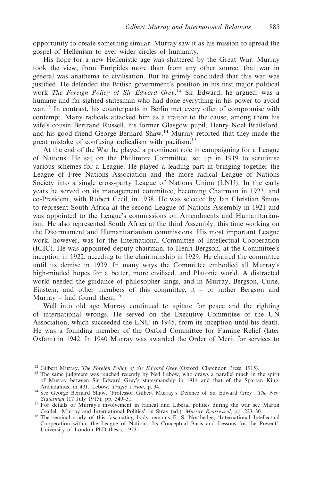opportunity to create something similar. Murray saw it as his mission to spread the gospel of Hellenism to ever wider circles of humanity.

His hope for a new Hellenistic age was shattered by the Great War. Murray took the view, from Euripides more than from any other source, that war in general was anathema to civilisation. But he grimly concluded that this war was justified. He defended the British government's position in his first major political work *The Foreign Policy of Sir Edward Grey*. <sup>12</sup> Sir Edward, he argued, was a humane and far-sighted statesman who had done everything in his power to avoid war.<sup>13</sup> In contrast, his counterparts in Berlin met every offer of compromise with contempt. Many radicals attacked him as a traitor to the cause, among them his wife's cousin Bertrand Russell, his former Glasgow pupil, Henry Noel Brailsford, and his good friend George Bernard Shaw.14 Murray retorted that they made the great mistake of confusing radicalism with pacifism.<sup>15</sup>

At the end of the War he played a prominent role in campaigning for a League of Nations. He sat on the Phillimore Committee, set up in 1919 to scrutinise various schemes for a League. He played a leading part in bringing together the League of Free Nations Association and the more radical League of Nations Society into a single cross-party League of Nations Union (LNU). In the early years he served on its management committee, becoming Chairman in 1923, and co-President, with Robert Cecil, in 1938. He was selected by Jan Christian Smuts to represent South Africa at the second League of Nations Assembly in 1921 and was appointed to the League's commissions on Amendments and Humanitarianism. He also represented South Africa at the third Assembly, this time working on the Disarmament and Humanitarianism commissions. His most important League work, however, was for the International Committee of Intellectual Cooperation (ICIC). He was appointed deputy chairman, to Henri Bergson, at the Committee's inception in 1922, acceding to the chairmanship in 1929. He chaired the committee until its demise in 1939. In many ways the Committee embodied all Murray's high-minded hopes for a better, more civilised, and Platonic world. A distracted world needed the guidance of philosopher kings, and in Murray, Bergson, Curie, Einstein, and other members of this committee, it – or rather Bergson and Murray – had found them. $16$ 

Well into old age Murray continued to agitate for peace and the righting of international wrongs. He served on the Executive Committee of the UN Association, which succeeded the LNU in 1945, from its inception until his death. He was a founding member of the Oxford Committee for Famine Relief (later Oxfam) in 1942. In 1940 Murray was awarded the Order of Merit for services to

<sup>&</sup>lt;sup>12</sup> Gilbert Murray, *The Foreign Policy of Sir Edward Grey* (Oxford: Clarendon Press, 1915).<br><sup>13</sup> The same judgment was reached recently by Ned Lebow, who draws a parallel much in the spirit of Murray between Sir Edward Grey's statesmanship in 1914 and that of the Spartan King,

Archidamus, in 431. Lebow, *Tragic Vision*, p. 94.<br><sup>14</sup> See George Bernard Shaw, 'Professor Gilbert Murray's Defence of Sir Edward Grey', *The New Statesman* (17 July 1915), pp. 349–51.

<sup>&</sup>lt;sup>15</sup> For details of Murray's involvement in radical and Liberal politics during the war see Martin Ceadel, 'Murray and International Politics', in Stray (ed.), *Murray Reassessed*, pp. 223–30.

<sup>&</sup>lt;sup>16</sup> The seminal study of this fascinating body remains F. S. Northedge, 'International Intellectual Cooperation within the League of Nations: Its Conceptual Basis and Lessons for the Present', University of London PhD thesis, 1953.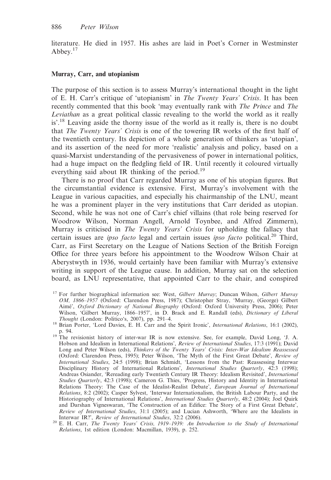literature. He died in 1957. His ashes are laid in Poet's Corner in Westminster Abbey.17

#### **Murray, Carr, and utopianism**

The purpose of this section is to assess Murray's international thought in the light of E. H. Carr's critique of 'utopianism' in *The Twenty Years' Crisis*. It has been recently commented that this book 'may eventually rank with *The Prince* and *The Leviathan* as a great political classic revealing to the world the world as it really is'.<sup>18</sup> Leaving aside the thorny issue of the world as it really is, there is no doubt that *The Twenty Years' Crisis* is one of the towering IR works of the first half of the twentieth century. Its depiction of a whole generation of thinkers as 'utopian', and its assertion of the need for more 'realistic' analysis and policy, based on a quasi-Marxist understanding of the pervasiveness of power in international politics, had a huge impact on the fledgling field of IR. Until recently it coloured virtually everything said about IR thinking of the period.<sup>19</sup>

There is no proof that Carr regarded Murray as one of his utopian figures. But the circumstantial evidence is extensive. First, Murray's involvement with the League in various capacities, and especially his chairmanship of the LNU, meant he was a prominent player in the very institutions that Carr derided as utopian. Second, while he was not one of Carr's chief villains (that role being reserved for Woodrow Wilson, Norman Angell, Arnold Toynbee, and Alfred Zimmern), Murray is criticised in *The Twenty Years' Crisis* for upholding the fallacy that certain issues are *ipso facto* legal and certain issues *ipso facto* political.20 Third, Carr, as First Secretary on the League of Nations Section of the British Foreign Office for three years before his appointment to the Woodrow Wilson Chair at Aberystwyth in 1936, would certainly have been familiar with Murray's extensive writing in support of the League cause. In addition, Murray sat on the selection board, as LNU representative, that appointed Carr to the chair, and conspired

<sup>17</sup> For further biographical information see: West, *Gilbert Murray*; Duncan Wilson, *Gilbert Murray OM, 1866–1957* (Oxford: Clarendon Press, 1987); Christopher Stray, 'Murray, (George) Gilbert Aimé', *Oxford Dictionary of National Biography* (Oxford: Oxford University Press, 2006); Peter Wilson, 'Gilbert Murray, 1866–1957', in D. Brack and E. Randall (eds), *Dictionary of Liberal Thought* (London: Politico's, 2007), pp. 291–4.

<sup>&</sup>lt;sup>18</sup> Brian Porter, 'Lord Davies, E. H. Carr and the Spirit Ironic', *International Relations*, 16:1 (2002), p. 94.

<sup>&</sup>lt;sup>19</sup> The revisionist history of inter-war IR is now extensive. See, for example, David Long, 'J. A. Hobson and Idealism in International Relations', *Review of International Studies*, 17:3 (1991); David Long and Peter Wilson (eds), *Thinkers of the Twenty Years' Crisis: Inter-War Idealism Reassessed* (Oxford: Clarendon Press, 1995); Peter Wilson, 'The Myth of the First Great Debate', *Review of International Studies*, 24:5 (1998); Brian Schmidt, 'Lessons from the Past: Reassessing Interwar Disciplinary History of International Relations', *International Studies Quarterly*, 42:3 (1998); Andreas Osiander, 'Rereading early Twentieth Century IR Theory: Idealism Revisited', *International Studies Quarterly*, 42:3 (1998); Cameron G. Thies, 'Progress, History and Identity in International Relations Theory: The Case of the Idealist-Realist Debate', *European Journal of International Relations*, 8:2 (2002); Casper Sylvest, 'Interwar Internationalism, the British Labour Party, and the Historiography of International Relations', *International Studies Quarterly*, 48:2 (2004); Joel Quirk and Darshan Vigneswaran, 'The Construction of an Edifice: The Story of a First Great Debate', *Review of International Studies*, 31:1 (2005); and Lucian Ashworth, 'Where are the Idealists in

<sup>&</sup>lt;sup>20</sup> E. H. Carr, *The Twenty Years' Crisis, 1919–1939: An Introduction to the Study of International Relations*, 1st edition (London: Macmillan, 1939), p. 252.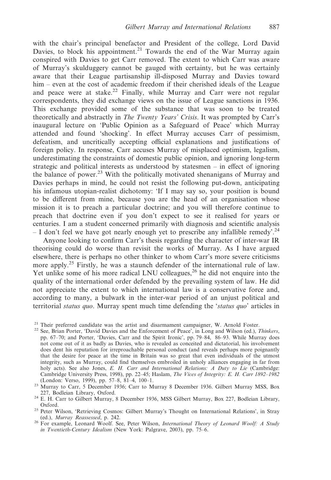with the chair's principal benefactor and President of the college, Lord David Davies, to block his appointment.<sup>21</sup> Towards the end of the War Murray again conspired with Davies to get Carr removed. The extent to which Carr was aware of Murray's skulduggery cannot be gauged with certainty, but he was certainly aware that their League partisanship ill-disposed Murray and Davies toward him – even at the cost of academic freedom if their cherished ideals of the League and peace were at stake.<sup>22</sup> Finally, while Murray and Carr were not regular correspondents, they did exchange views on the issue of League sanctions in 1936. This exchange provided some of the substance that was soon to be treated theoretically and abstractly in *The Twenty Years' Crisis*. It was prompted by Carr's inaugural lecture on 'Public Opinion as a Safeguard of Peace' which Murray attended and found 'shocking'. In effect Murray accuses Carr of pessimism, defeatism, and uncritically accepting official explanations and justifications of foreign policy. In response, Carr accuses Murray of misplaced optimism, legalism, underestimating the constraints of domestic public opinion, and ignoring long-term strategic and political interests as understood by statesmen – in effect of ignoring the balance of power.<sup>23</sup> With the politically motivated shenanigans of Murray and Davies perhaps in mind, he could not resist the following put-down, anticipating his infamous utopian-realist dichotomy: 'If I may say so, your position is bound to be different from mine, because you are the head of an organisation whose mission it is to preach a particular doctrine; and you will therefore continue to preach that doctrine even if you don't expect to see it realised for years or centuries. I am a student concerned primarily with diagnosis and scientific analysis – I don't feel we have got nearly enough yet to prescribe any infallible remedy'.<sup>24</sup>

Anyone looking to confirm Carr's thesis regarding the character of inter-war IR theorising could do worse than revisit the works of Murray. As I have argued elsewhere, there is perhaps no other thinker to whom Carr's more severe criticisms more apply.<sup>25</sup> Firstly, he was a staunch defender of the international rule of law. Yet unlike some of his more radical LNU colleagues,<sup>26</sup> he did not enquire into the quality of the international order defended by the prevailing system of law. He did not appreciate the extent to which international law is a conservative force and, according to many, a bulwark in the inter-war period of an unjust political and territorial *status quo*. Murray spent much time defending the '*status quo*' articles in

<sup>&</sup>lt;sup>21</sup> Their preferred candidate was the artist and disarmament campaigner, W. Arnold Foster.<br><sup>22</sup> See, Brian Porter, 'David Davies and the Enforcement of Peace', in Long and Wilson (ed.), *Thinkers*, pp. 67–70; and Porter, 'Davies, Carr and the Spirit Ironic', pp. 79–84, 86–93. While Murray does not come out of it as badly as Davies, who is revealed as conceited and dictatorial, his involvement does dent his reputation for irreproachable personal conduct (and reveals perhaps more poignantly that the desire for peace at the time in Britain was so great that even individuals of the utmost integrity, such as Murray, could find themselves embroiled in unholy alliances engaging in far from holy acts). See also Jones, *E. H. Carr and International Relations: A Duty to Lie* (Cambridge: Cambridge University Press, 1998), pp. 22–45; Haslam, *The Vices of Integrity: E. H. Carr 1892–1982*

<sup>&</sup>lt;sup>23</sup> Murray to Carr, 5 December 1936; Carr to Murray 8 December 1936. Gilbert Murray MSS, Box 227, Bodleian Library, Oxford.

<sup>&</sup>lt;sup>24</sup> E. H. Carr to Gilbert Murray, 8 December 1936, MSS Gilbert Murray, Box 227, Bodleian Library,

Oxford.<br><sup>25</sup> Peter Wilson, 'Retrieving Cosmos: Gilbert Murray's Thought on International Relations', in Stray (ed.), *Murray Reassessed*, p. 242.

<sup>&</sup>lt;sup>26</sup> For example, Leonard Woolf. See, Peter Wilson, *International Theory of Leonard Woolf: A Study in Twentieth-Century Idealism* (New York: Palgrave, 2003), pp. 75–6.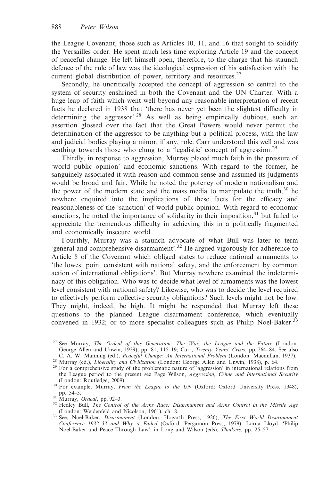the League Covenant, those such as Articles 10, 11, and 16 that sought to solidify the Versailles order. He spent much less time exploring Article 19 and the concept of peaceful change. He left himself open, therefore, to the charge that his staunch defence of the rule of law was the ideological expression of his satisfaction with the current global distribution of power, territory and resources. $27$ 

Secondly, he uncritically accepted the concept of aggression so central to the system of security enshrined in both the Covenant and the UN Charter. With a huge leap of faith which went well beyond any reasonable interpretation of recent facts he declared in 1938 that 'there has never yet been the slightest difficulty in determining the aggressor<sup>'.28</sup> As well as being empirically dubious, such an assertion glossed over the fact that the Great Powers would never permit the determination of the aggressor to be anything but a political process, with the law and judicial bodies playing a minor, if any, role. Carr understood this well and was scathing towards those who clung to a 'legalistic' concept of aggression.<sup>29</sup>

Thirdly, in response to aggression, Murray placed much faith in the pressure of 'world public opinion' and economic sanctions. With regard to the former, he sanguinely associated it with reason and common sense and assumed its judgments would be broad and fair. While he noted the potency of modern nationalism and the power of the modern state and the mass media to manipulate the truth, $30$  he nowhere enquired into the implications of these facts for the efficacy and reasonableness of the 'sanction' of world public opinion. With regard to economic sanctions, he noted the importance of solidarity in their imposition, $31$  but failed to appreciate the tremendous difficulty in achieving this in a politically fragmented and economically insecure world.

Fourthly, Murray was a staunch advocate of what Bull was later to term 'general and comprehensive disarmament'.32 He argued vigorously for adherence to Article 8 of the Covenant which obliged states to reduce national armaments to 'the lowest point consistent with national safety, and the enforcement by common action of international obligations'. But Murray nowhere examined the indeterminacy of this obligation. Who was to decide what level of armaments was the lowest level consistent with national safety? Likewise, who was to decide the level required to effectively perform collective security obligations? Such levels might not be low. They might, indeed, be high. It might be responded that Murray left these questions to the planned League disarmament conference, which eventually convened in 1932; or to more specialist colleagues such as Philip Noel-Baker.<sup>33</sup>

<sup>27</sup> See Murray, *The Ordeal of this Generation: The War, the League and the Future* (London: George Allen and Unwin, 1929), pp. 81, 115–19; Carr, *Twenty Years' Crisis*, pp. 264–84. See also C. A. W. Manning (ed.), *Peaceful Change: An International Problem* (London: Macmillan, 1937).

<sup>&</sup>lt;sup>28</sup> Murray (ed.), *Liberality and Civilization* (London: George Allen and Unwin, 1938), p. 64.<br><sup>29</sup> For a comprehensive study of the problematic nature of 'aggression' in international relations from the League period to the present see Page Wilson, *Aggression, Crime and International Security*

<sup>&</sup>lt;sup>30</sup> For example, Murray, *From the League to the UN* (Oxford: Oxford University Press, 1948), pp. 54–5.

<sup>&</sup>lt;sup>31</sup> Murray, *Ordeal*, pp. 92–3.<br><sup>32</sup> Hedley Bull, *The Control of the Arms Race: Disarmament and Arms Control in the Missile Age*<br>(London: Weidenfeld and Nicolson, 1961), ch. 8.

<sup>&</sup>lt;sup>33</sup> See, Noel-Baker, *Disarmament* (London: Hogarth Press, 1926); *The First World Disarmament Conference 1932–33 and Why it Failed* (Oxford: Pergamon Press, 1979); Lorna Lloyd, 'Philip Noel-Baker and Peace Through Law', in Long and Wilson (eds), *Thinkers*, pp. 25–57.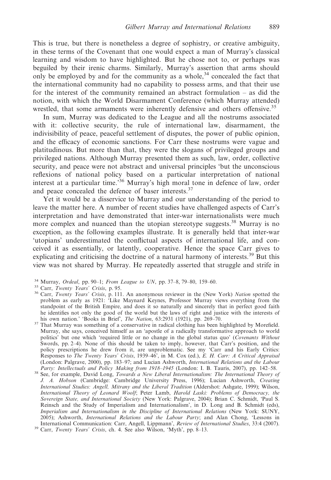This is true, but there is nonetheless a degree of sophistry, or creative ambiguity, in these terms of the Covenant that one would expect a man of Murray's classical learning and wisdom to have highlighted. But he chose not to, or perhaps was beguiled by their irenic charms. Similarly, Murray's assertion that arms should only be employed by and for the community as a whole,  $34$  concealed the fact that the international community had no capability to possess arms, and that their use for the interest of the community remained an abstract formulation – as did the notion, with which the World Disarmament Conference (which Murray attended) wrestled, that some armaments were inherently defensive and others offensive.<sup>35</sup>

In sum, Murray was dedicated to the League and all the nostrums associated with it: collective security, the rule of international law, disarmament, the indivisibility of peace, peaceful settlement of disputes, the power of public opinion, and the efficacy of economic sanctions. For Carr these nostrums were vague and platitudinous. But more than that, they were the slogans of privileged groups and privileged nations. Although Murray presented them as such, law, order, collective security, and peace were not abstract and universal principles 'but the unconscious reflexions of national policy based on a particular interpretation of national interest at a particular time.'36 Murray's high moral tone in defence of law, order and peace concealed the defence of baser interests.<sup>37</sup>

Yet it would be a disservice to Murray and our understanding of the period to leave the matter here. A number of recent studies have challenged aspects of Carr's interpretation and have demonstrated that inter-war internationalists were much more complex and nuanced than the utopian stereotype suggests.<sup>38</sup> Murray is no exception, as the following examples illustrate. It is generally held that inter-war 'utopians' underestimated the conflictual aspects of international life, and conceived it as essentially, or latently, cooperative. Hence the space Carr gives to explicating and criticising the doctrine of a natural harmony of interests.<sup>39</sup> But this view was not shared by Murray. He repeatedly asserted that struggle and strife in

- <sup>37</sup> That Murray was something of a conservative in radical clothing has been highlighted by Morefield. Murray, she says, conceived himself as an 'apostle of a radically transformative approach to world politics' but one which 'required little or no change in the global status quo' (*Covenants Without* Swords, pp. 2–4). None of this should be taken to imply, however, that Carr's position, and the policy prescriptions he drew from it, are unproblematic. See my 'Carr and his Early Critics: Responses to *The Twenty Years' Crisis*, 1939–46', in M. Cox (ed.), *E. H. Carr: A Critical Appraisal* (London: Palgrave, 2000), pp. 183–97; and Lucian Ashworth, *International Relations and the Labour*
- *Party: Intellectuals and Policy Making from 1918–1945* (London: I. B. Tauris, 2007), pp. 142–58. 38 See, for example, David Long, *Towards a New Liberal Internationalism: The International Theory of J. A. Hobson* (Cambridge: Cambridge University Press, 1996); Lucian Ashworth, *Creating International Studies: Angell, Mitrany and the Liberal Tradition* (Aldershot: Ashgate, 1999); Wilson, *International Theory of Leonard Woolf*; Peter Lamb, *Harold Laski: Problems of Democracy, the Sovereign State, and International Society* (New York: Palgrave, 2004); Brian C. Schmidt, 'Paul S. Reinsch and the Study of Imperialism and Internationalism', in D. Long and B. Schmidt (eds), *Imperialism and Internationalism in the Discipline of International Relations* (New York: SUNY, 2005); Ashworth, *International Relations and the Labour Party*; and Alan Chong, 'Lessons in International Communication: Carr, Angell, Lippmann', *Review of International Studies*, 33:4 (2007). <sup>39</sup> Carr, *Twenty Years' Crisis*, ch. 4. See also Wilson, 'Myth', pp. 8–13.

<sup>&</sup>lt;sup>34</sup> Murray, *Ordeal*, pp. 90–1; *From League to UN*, pp. 37–8, 79–80, 159–60.<br><sup>35</sup> Carr, *Twenty Years' Crisis*, p. 95.<br><sup>36</sup> Carr, *Twenty Years' Crisis*, p. 111. An anonymous reviewer in the (New York) *Nation* spotted problem as early as 1921: 'Like Maynard Keynes, Professor Murray views everything from the standpoint of the British Empire, and does it so naturally and sincerely that in perfect good faith he identifies not only the good of the world but the laws of right and justice with the interests of his own nation.' Books in Brief', *The Nation*, 63:2931 (1921), pp. 269–70.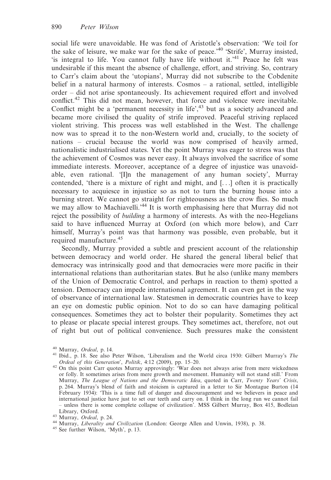social life were unavoidable. He was fond of Aristotle's observation: 'We toil for the sake of leisure, we make war for the sake of peace.'40 'Strife', Murray insisted, 'is integral to life. You cannot fully have life without it.'41 Peace he felt was undesirable if this meant the absence of challenge, effort, and striving. So, contrary to Carr's claim about the 'utopians', Murray did not subscribe to the Cobdenite belief in a natural harmony of interests. Cosmos – a rational, settled, intelligible order – did not arise spontaneously. Its achievement required effort and involved conflict.<sup>42</sup> This did not mean, however, that force and violence were inevitable. Conflict might be a 'permanent necessity in life', $43$  but as a society advanced and became more civilised the quality of strife improved. Peaceful striving replaced violent striving. This process was well established in the West. The challenge now was to spread it to the non-Western world and, crucially, to the society of nations – crucial because the world was now comprised of heavily armed, nationalistic industrialised states. Yet the point Murray was eager to stress was that the achievement of Cosmos was never easy. It always involved the sacrifice of some immediate interests. Moreover, acceptance of a degree of injustice was unavoidable, even rational. '[I]n the management of any human society', Murray contended, 'there is a mixture of right and might, and [. . .] often it is practically necessary to acquiesce in injustice so as not to turn the burning house into a burning street. We cannot go straight for righteousness as the crow flies. So much we may allow to Machiavelli.<sup>44</sup> It is worth emphasising here that Murray did not reject the possibility of *building* a harmony of interests. As with the neo-Hegelians said to have influenced Murray at Oxford (on which more below), and Carr himself, Murray's point was that harmony was possible, even probable, but it required manufacture.<sup>45</sup>

Secondly, Murray provided a subtle and prescient account of the relationship between democracy and world order. He shared the general liberal belief that democracy was intrinsically good and that democracies were more pacific in their international relations than authoritarian states. But he also (unlike many members of the Union of Democratic Control, and perhaps in reaction to them) spotted a tension. Democracy can impede international agreement. It can even get in the way of observance of international law. Statesmen in democratic countries have to keep an eye on domestic public opinion. Not to do so can have damaging political consequences. Sometimes they act to bolster their popularity. Sometimes they act to please or placate special interest groups. They sometimes act, therefore, not out of right but out of political convenience. Such pressures make the consistent

<sup>40</sup> Murray, *Ordeal*, p. 14. <sup>41</sup> Ibid., p. 18. See also Peter Wilson, 'Liberalism and the World circa 1930: Gilbert Murray's *The*

<sup>&</sup>lt;sup>42</sup> On this point Carr quotes Murray approvingly: 'War does not always arise from mere wickedness or folly. It sometimes arises from mere growth and movement. Humanity will not stand still.' From Murray, *The League of Nations and the Democratic Idea*, quoted in Carr, *Twenty Years' Crisis*, p. 264. Murray's blend of faith and stoicism is captured in a letter to Sir Montague Burton (14 February 1934): 'This is a time full of danger and discouragement and we believers in peace and international justice have just to set our teeth and carry on. I think in the long run we cannot fail – unless there is some complete collapse of civilization'. MSS Gilbert Murray, Box 415, Bodleian Library, Oxford. <sup>43</sup> Murray, *Ordeal*, p. 24. <sup>44</sup> Murray, *Liberality and Civilization* (London: George Allen and Unwin, 1938), p. 38. <sup>45</sup> See further Wilson, 'Myth', p. 13.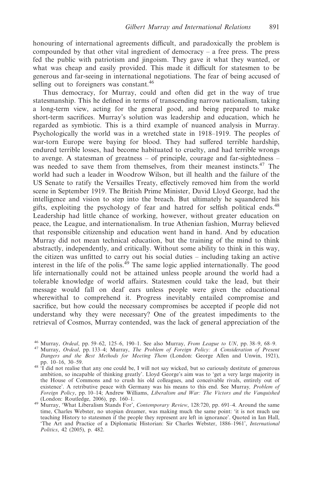honouring of international agreements difficult, and paradoxically the problem is compounded by that other vital ingredient of democracy – a free press. The press fed the public with patriotism and jingoism. They gave it what they wanted, or what was cheap and easily provided. This made it difficult for statesmen to be generous and far-seeing in international negotiations. The fear of being accused of selling out to foreigners was constant.<sup>46</sup>

Thus democracy, for Murray, could and often did get in the way of true statesmanship. This he defined in terms of transcending narrow nationalism, taking a long-term view, acting for the general good, and being prepared to make short-term sacrifices. Murray's solution was leadership and education, which he regarded as symbiotic. This is a third example of nuanced analysis in Murray. Psychologically the world was in a wretched state in 1918–1919. The peoples of war-torn Europe were baying for blood. They had suffered terrible hardship, endured terrible losses, had become habituated to cruelty, and had terrible wrongs to avenge. A statesman of greatness  $-$  of principle, courage and far-sightedness  $$ was needed to save them from themselves, from their meanest instincts.<sup>47</sup> The world had such a leader in Woodrow Wilson, but ill health and the failure of the US Senate to ratify the Versailles Treaty, effectively removed him from the world scene in September 1919. The British Prime Minister, David Lloyd George, had the intelligence and vision to step into the breach. But ultimately he squandered his gifts, exploiting the psychology of fear and hatred for selfish political ends. $48$ Leadership had little chance of working, however, without greater education on peace, the League, and internationalism. In true Athenian fashion, Murray believed that responsible citizenship and education went hand in hand. And by education Murray did not mean technical education, but the training of the mind to think abstractly, independently, and critically. Without some ability to think in this way, the citizen was unfitted to carry out his social duties – including taking an active interest in the life of the polis. $49$  The same logic applied internationally. The good life internationally could not be attained unless people around the world had a tolerable knowledge of world affairs. Statesmen could take the lead, but their message would fall on deaf ears unless people were given the educational wherewithal to comprehend it. Progress inevitably entailed compromise and sacrifice, but how could the necessary compromises be accepted if people did not understand why they were necessary? One of the greatest impediments to the retrieval of Cosmos, Murray contended, was the lack of general appreciation of the

- *Dangers and the Best Methods for Meeting Them* (London: George Allen and Unwin, 1921),
- pp. 10–16, 30–59. <sup>48</sup> 'I did not realise that any one could be, I will not say wicked, but so curiously destitute of generous ambition, so incapable of thinking greatly'. Lloyd George's aim was to 'get a very large majority in the House of Commons and to crush his old colleagues, and conceivable rivals, entirely out of existence'. A retributive peace with Germany was his means to this end. See Murray*, Problem of Foreign Policy*, pp. 10–14; Andrew Williams, *Liberalism and War: The Victors and the Vanquished*
- (London: Routledge, 2006), pp. 160–1. <sup>49</sup> Murray, 'What Liberalism Stands For', *Contemporary Review*, 128:720, pp. 691–4. Around the same time, Charles Webster, no utopian dreamer, was making much the same point: 'it is not much use teaching History to statesmen if the people they represent are left in ignorance'. Quoted in Ian Hall, 'The Art and Practice of a Diplomatic Historian: Sir Charles Webster, 1886–1961', *International Politics*, 42 (2005), p. 482.

<sup>46</sup> Murray, *Ordeal*, pp. 59–62, 125–6, 190–1. See also Murray, *From League to UN*, pp. 38–9, 68–9. <sup>47</sup> Murray, *Ordeal*, pp. 133–4; Murray, *The Problem of Foreign Policy: A Consideration of Present*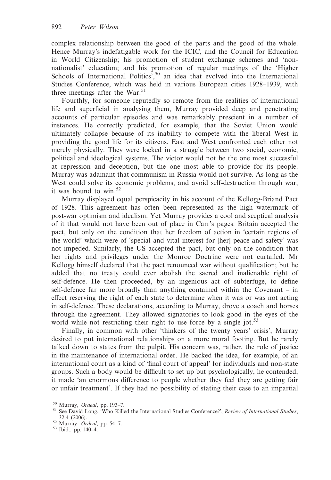complex relationship between the good of the parts and the good of the whole. Hence Murray's indefatigable work for the ICIC, and the Council for Education in World Citizenship; his promotion of student exchange schemes and 'nonnationalist' education; and his promotion of regular meetings of the 'Higher Schools of International Politics<sup>'</sup>,<sup>50</sup> an idea that evolved into the International Studies Conference, which was held in various European cities 1928–1939, with three meetings after the War.<sup>51</sup>

Fourthly, for someone reputedly so remote from the realities of international life and superficial in analysing them, Murray provided deep and penetrating accounts of particular episodes and was remarkably prescient in a number of instances. He correctly predicted, for example, that the Soviet Union would ultimately collapse because of its inability to compete with the liberal West in providing the good life for its citizens. East and West confronted each other not merely physically. They were locked in a struggle between two social, economic, political and ideological systems. The victor would not be the one most successful at repression and deception, but the one most able to provide for its people. Murray was adamant that communism in Russia would not survive. As long as the West could solve its economic problems, and avoid self-destruction through war, it was bound to win.<sup>52</sup>

Murray displayed equal perspicacity in his account of the Kellogg-Briand Pact of 1928. This agreement has often been represented as the high watermark of post-war optimism and idealism. Yet Murray provides a cool and sceptical analysis of it that would not have been out of place in Carr's pages. Britain accepted the pact, but only on the condition that her freedom of action in 'certain regions of the world' which were of 'special and vital interest for [her] peace and safety' was not impeded. Similarly, the US accepted the pact, but only on the condition that her rights and privileges under the Monroe Doctrine were not curtailed. Mr Kellogg himself declared that the pact renounced war without qualification; but he added that no treaty could ever abolish the sacred and inalienable right of self-defence. He then proceeded, by an ingenious act of subterfuge, to define self-defence far more broadly than anything contained within the Covenant – in effect reserving the right of each state to determine when it was or was not acting in self-defence. These declarations, according to Murray, drove a coach and horses through the agreement. They allowed signatories to look good in the eyes of the world while not restricting their right to use force by a single jot.<sup>53</sup>

Finally, in common with other 'thinkers of the twenty years' crisis', Murray desired to put international relationships on a more moral footing. But he rarely talked down to states from the pulpit. His concern was, rather, the role of justice in the maintenance of international order. He backed the idea, for example, of an international court as a kind of 'final court of appeal' for individuals and non-state groups. Such a body would be difficult to set up but psychologically, he contended, it made 'an enormous difference to people whether they feel they are getting fair or unfair treatment'. If they had no possibility of stating their case to an impartial

<sup>50</sup> Murray, *Ordeal*, pp. 193–7. <sup>51</sup> See David Long, 'Who Killed the International Studies Conference?', *Review of International Studies*, 32:4 (2006). <sup>52</sup> Murray, *Ordeal*, pp. 54–7. <sup>53</sup> Ibid., pp. 140–4.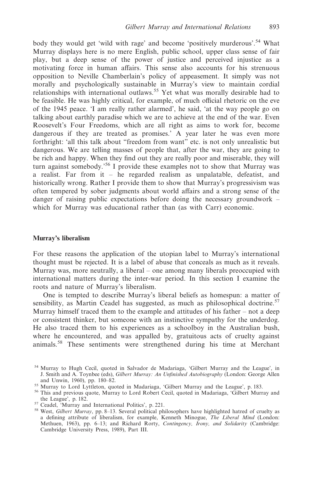body they would get 'wild with rage' and become 'positively murderous'.<sup>54</sup> What Murray displays here is no mere English, public school, upper class sense of fair play, but a deep sense of the power of justice and perceived injustice as a motivating force in human affairs. This sense also accounts for his strenuous opposition to Neville Chamberlain's policy of appeasement. It simply was not morally and psychologically sustainable in Murray's view to maintain cordial relationships with international outlaws.<sup>55</sup> Yet what was morally desirable had to be feasible. He was highly critical, for example, of much official rhetoric on the eve of the 1945 peace. 'I am really rather alarmed', he said, 'at the way people go on talking about earthly paradise which we are to achieve at the end of the war. Even Roosevelt's Four Freedoms, which are all right as aims to work for, become dangerous if they are treated as promises.' A year later he was even more forthright: 'all this talk about "freedom from want" etc. is not only unrealistic but dangerous. We are telling masses of people that, after the war, they are going to be rich and happy. When they find out they are really poor and miserable, they will turn against somebody.<sup>56</sup> I provide these examples not to show that Murray was a realist. Far from it – he regarded realism as unpalatable, defeatist, and historically wrong. Rather I provide them to show that Murray's progressivism was often tempered by sober judgments about world affairs and a strong sense of the danger of raising public expectations before doing the necessary groundwork – which for Murray was educational rather than (as with Carr) economic.

#### **Murray's liberalism**

For these reasons the application of the utopian label to Murray's international thought must be rejected. It is a label of abuse that conceals as much as it reveals. Murray was, more neutrally, a liberal – one among many liberals preoccupied with international matters during the inter-war period. In this section I examine the roots and nature of Murray's liberalism.

One is tempted to describe Murray's liberal beliefs as homespun: a matter of sensibility, as Martin Ceadel has suggested, as much as philosophical doctrine.<sup>57</sup> Murray himself traced them to the example and attitudes of his father – not a deep or consistent thinker, but someone with an instinctive sympathy for the underdog. He also traced them to his experiences as a schoolboy in the Australian bush, where he encountered, and was appalled by, gratuitous acts of cruelty against animals.58 These sentiments were strengthened during his time at Merchant

<sup>54</sup> Murray to Hugh Cecil, quoted in Salvador de Madariaga, 'Gilbert Murray and the League', in J. Smith and A. Toynbee (eds), *Gilbert Murray: An Unfinished Autobiography* (London: George Allen

and Unwin, 1960), pp. 180–82.<br>
<sup>55</sup> Murray to Lord Lyttleton, quoted in Madariaga, 'Gilbert Murray and the League', p. 183.<br>
<sup>56</sup> This and previous quote, Murray to Lord Robert Cecil, quoted in Madariaga, 'Gilbert Murray a

<sup>&</sup>lt;sup>57</sup> Ceadel, 'Murray and International Politics', p. 221.<br><sup>58</sup> West, *Gilbert Murray*, pp. 8–13. Several political philosophers have highlighted hatred of cruelty as a defining attribute of liberalism, for example, Kenneth Minogue, *The Liberal Mind* (London: Methuen, 1963), pp. 6–13; and Richard Rorty, *Contingency, Irony, and Solidarity* (Cambridge: Cambridge University Press, 1989), Part III.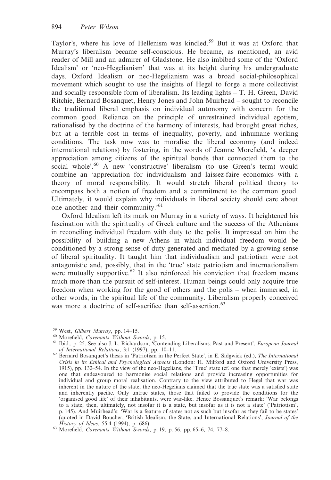Taylor's, where his love of Hellenism was kindled.<sup>59</sup> But it was at Oxford that Murray's liberalism became self-conscious. He became, as mentioned, an avid reader of Mill and an admirer of Gladstone. He also imbibed some of the 'Oxford Idealism' or 'neo-Hegelianism' that was at its height during his undergraduate days. Oxford Idealism or neo-Hegelianism was a broad social-philosophical movement which sought to use the insights of Hegel to forge a more collectivist and socially responsible form of liberalism. Its leading lights – T. H. Green, David Ritchie, Bernard Bosanquet, Henry Jones and John Muirhead – sought to reconcile the traditional liberal emphasis on individual autonomy with concern for the common good. Reliance on the principle of unrestrained individual egotism, rationalised by the doctrine of the harmony of interests, had brought great riches, but at a terrible cost in terms of inequality, poverty, and inhumane working conditions. The task now was to moralise the liberal economy (and indeed international relations) by fostering, in the words of Jeanne Morefield, 'a deeper appreciation among citizens of the spiritual bonds that connected them to the social whole'.<sup>60</sup> A new 'constructive' liberalism (to use Green's term) would combine an 'appreciation for individualism and laissez-faire economics with a theory of moral responsibility. It would stretch liberal political theory to encompass both a notion of freedom and a commitment to the common good. Ultimately, it would explain why individuals in liberal society should care about one another and their community.'61

Oxford Idealism left its mark on Murray in a variety of ways. It heightened his fascination with the spirituality of Greek culture and the success of the Athenians in reconciling individual freedom with duty to the polis. It impressed on him the possibility of building a new Athens in which individual freedom would be conditioned by a strong sense of duty generated and mediated by a growing sense of liberal spirituality. It taught him that individualism and patriotism were not antagonistic and, possibly, that in the 'true' state patriotism and internationalism were mutually supportive.<sup>62</sup> It also reinforced his conviction that freedom means much more than the pursuit of self-interest. Human beings could only acquire true freedom when working for the good of others and the polis – when immersed, in other words, in the spiritual life of the community. Liberalism properly conceived was more a doctrine of self-sacrifice than self-assertion.<sup>63</sup>

<sup>59</sup> West, *Gilbert Murray*, pp. 14–15. <sup>60</sup> Morefield, *Covenants Without Swords*, p. 15. <sup>61</sup> Ibid., p. 25. See also J. L. Richardson, 'Contending Liberalisms: Past and Present', *European Journal*

<sup>&</sup>lt;sup>62</sup> Bernard Bosanquet's thesis in 'Patriotism in the Perfect State', in E. Sidgwick (ed.), *The International Crisis in its Ethical and Psychological Aspects* (London: H. Milford and Oxford University Press, 1915), pp. 132–54. In the view of the neo-Hegelians, the 'True' state (cf. one that merely 'exists') was one that endeavoured to harmonise social relations and provide increasing opportunities for individual and group moral realisation. Contrary to the view attributed to Hegel that war was inherent in the nature of the state, the neo-Hegelians claimed that the true state was a satisfied state and inherently pacific. Only untrue states, those that failed to provide the conditions for the 'organised good life' of their inhabitants, were war-like. Hence Bossanquet's remark: 'War belongs to a state, then, ultimately, not insofar it is a state, but insofar as it is not a state' ('Patriotism', p. 145). And Muirhead's: 'War is a feature of states not as such but insofar as they fail to be states' (quoted in David Boucher, 'British Idealism, the State, and International Relations', *Journal of the*

*History of Ideas*, 55:4 (1994), p. 686). <sup>63</sup> Morefield, *Covenants Without Swords*, p. 19, p. 56, pp. 65–6, 74, 77–8.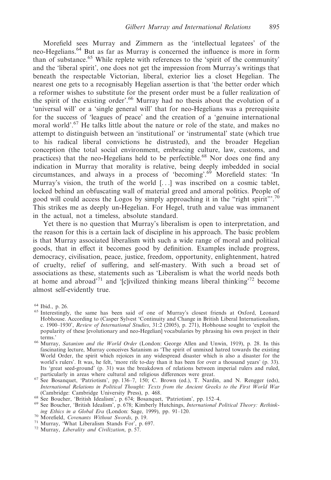Morefield sees Murray and Zimmern as the 'intellectual legatees' of the neo-Hegelians.64 But as far as Murray is concerned the influence is more in form than of substance.<sup>65</sup> While replete with references to the 'spirit of the community' and the 'liberal spirit', one does not get the impression from Murray's writings that beneath the respectable Victorian, liberal, exterior lies a closet Hegelian. The nearest one gets to a recognisably Hegelian assertion is that 'the better order which a reformer wishes to substitute for the present order must be a fuller realization of the spirit of the existing order'.<sup>66</sup> Murray had no thesis about the evolution of a 'universal will' or a 'single general will' that for neo-Hegelians was a prerequisite for the success of 'leagues of peace' and the creation of a 'genuine international moral world'.<sup>67</sup> He talks little about the nature or role of the state, and makes no attempt to distinguish between an 'institutional' or 'instrumental' state (which true to his radical liberal convictions he distrusted), and the broader Hegelian conception (the total social environment, embracing culture, law, customs, and practices) that the neo-Hegelians held to be perfectible.<sup>68</sup> Nor does one find any indication in Murray that morality is relative, being deeply imbedded in social circumstances, and always in a process of 'becoming'.69 Morefield states: 'In Murray's vision, the truth of the world [. . .] was inscribed on a cosmic tablet, locked behind an obfuscating wall of material greed and amoral politics. People of good will could access the Logos by simply approaching it in the "right spirit"<sup>70</sup> This strikes me as deeply un-Hegelian. For Hegel, truth and value was immanent in the actual, not a timeless, absolute standard.

Yet there is no question that Murray's liberalism is open to interpretation, and the reason for this is a certain lack of discipline in his approach. The basic problem is that Murray associated liberalism with such a wide range of moral and political goods, that in effect it becomes good by definition. Examples include progress, democracy, civilisation, peace, justice, freedom, opportunity, enlightenment, hatred of cruelty, relief of suffering, and self-mastery. With such a broad set of associations as these, statements such as 'Liberalism is what the world needs both at home and abroad<sup>71</sup> and '[c]ivilized thinking means liberal thinking<sup>72</sup> become almost self-evidently true.

- 
- <sup>68</sup> See Boucher, 'British Idealism', p. 674; Bosanquet, 'Patriotism', pp. 152–4.<br><sup>69</sup> See Boucher, 'British Idealism', p. 678; Kimberly Hutchings, *International Political Theory: Rethinking Ethics in a Global Era* (Londo
- <sup>70</sup> Morefield, *Covenants Without Swords*, p. 19.<br><sup>71</sup> Murray, 'What Liberalism Stands For', p. 697.<br><sup>72</sup> Murray, *Liberality and Civilization*, p. 57.
- 
- 

<sup>&</sup>lt;sup>64</sup> Ibid., p. 26.<br><sup>65</sup> Interestingly, the same has been said of one of Murray's closest friends at Oxford, Leonard Hobhouse. According to (Casper Sylvest 'Continuity and Change in British Liberal Internationalism, c. 1900–1930', *Review of International Studies*, 31:2 (2005), p. 271), Hobhouse sought to 'exploit the popularity of these [evolutionary and neo-Hegelian] vocabularies by phrasing his own project in their terms.' <sup>66</sup> Murray, *Satanism and the World Order* (London: George Allen and Unwin, 1919), p. 28. In this

fascinating lecture, Murray conceives Satanism as 'The spirit of unmixed hatred towards the existing World Order, the spirit which rejoices in any widespread disaster which is also a disaster for the world's rulers'. It was, he felt, 'more rife to-day than it has been for over a thousand years' (p. 33). Its 'great seed-ground' (p. 31) was the breakdown of relations between imperial rulers and ruled,

 $\frac{67}{2}$  See Bosanquet, 'Patriotism', pp. 136–7, 150; C. Brown (ed.), T. Nardin, and N. Rengger (eds), *International Relations in Political Thought: Texts from the Ancient Greeks to the First World War*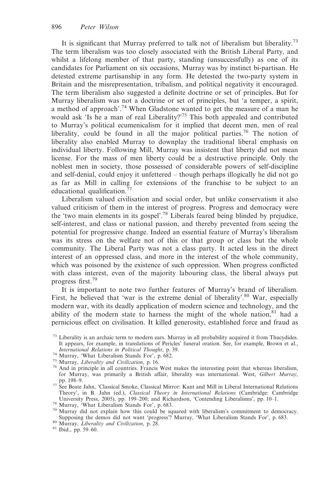It is significant that Murray preferred to talk not of liberalism but liberality.73 The term liberalism was too closely associated with the British Liberal Party, and whilst a lifelong member of that party, standing (unsuccessfully) as one of its candidates for Parliament on six occasions, Murray was by instinct bi-partisan. He detested extreme partisanship in any form. He detested the two-party system in Britain and the misrepresentation, tribalism, and political negativity it encouraged. The term liberalism also suggested a definite doctrine or set of principles. But for Murray liberalism was not a doctrine or set of principles, but 'a temper, a spirit, a method of approach'.74 When Gladstone wanted to get the measure of a man he would ask 'Is he a man of real Liberality?'<sup>75</sup> This both appealed and contributed to Murray's political ecumenicalism for it implied that decent men, men of real liberality, could be found in all the major political parties.<sup>76</sup> The notion of liberality also enabled Murray to downplay the traditional liberal emphasis on individual liberty. Following Mill, Murray was insistent that liberty did not mean license. For the mass of men liberty could be a destructive principle. Only the noblest men in society, those possessed of considerable powers of self-discipline and self-denial, could enjoy it unfettered – though perhaps illogically he did not go as far as Mill in calling for extensions of the franchise to be subject to an educational qualification.<sup>77</sup>

Liberalism valued civilisation and social order, but unlike conservatism it also valued criticism of them in the interest of progress. Progress and democracy were the 'two main elements in its gospel'.78 Liberals feared being blinded by prejudice, self-interest, and class or national passion, and thereby prevented from seeing the potential for progressive change. Indeed an essential feature of Murray's liberalism was its stress on the welfare not of this or that group or class but the whole community. The Liberal Party was not a class party. It acted less in the direct interest of an oppressed class, and more in the interest of the whole community, which was poisoned by the existence of such oppression. When progress conflicted with class interest, even of the majority labouring class, the liberal always put progress first.79

It is important to note two further features of Murray's brand of liberalism. First, he believed that 'war is the extreme denial of liberality'.<sup>80</sup> War, especially modern war, with its deadly application of modern science and technology, and the ability of the modern state to harness the might of the whole nation, $81$  had a pernicious effect on civilisation. It killed generosity, established force and fraud as

 $<sup>73</sup>$  Liberality is an archaic term to modern ears. Murray in all probability acquired it from Thucydides.</sup> It appears, for example, in translations of Pericles' funeral oration. See, for example, Brown et al.,

International Relations in Political Thought, p. 39.<br><sup>74</sup> Murray, 'What Liberalism Stands For', p. 682.<br><sup>75</sup> Murray, *Liberality and Civilization*, p. 16.<br><sup>75</sup> And in principle in all countries. Francis West makes the inte for Murray, was primarily a British affair, liberality was international. West, *Gilbert Murray*,

pp. 198–9. <sup>77</sup> See Beate Jahn, 'Classical Smoke, Classical Mirror: Kant and Mill in Liberal International Relations Theory', in B. Jahn (ed.), *Classical Theory in International Relations* (Cambridge: Cambridge

<sup>&</sup>lt;sup>78</sup> Murray, 'What Liberalism Stands For', p. 683.<br><sup>79</sup> Murray did not explain how this could be squared with liberalism's commitment to democracy. Supposing the demos did not want 'progress'? Murray, 'What Liberalism Stands For', p. 683. <sup>80</sup> Murray, *Liberality and Civilization*, p. 28. <sup>81</sup> Ibid., pp. 59–60.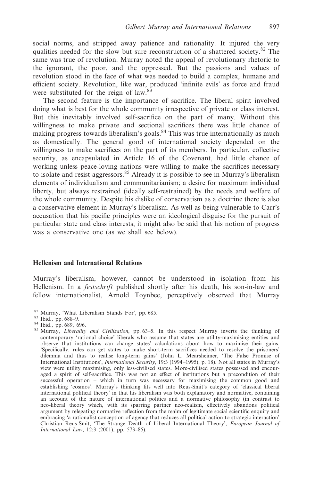social norms, and stripped away patience and rationality. It injured the very qualities needed for the slow but sure reconstruction of a shattered society.<sup>82</sup> The same was true of revolution. Murray noted the appeal of revolutionary rhetoric to the ignorant, the poor, and the oppressed. But the passions and values of revolution stood in the face of what was needed to build a complex, humane and efficient society. Revolution, like war, produced 'infinite evils' as force and fraud were substituted for the reign of law.<sup>83</sup>

The second feature is the importance of sacrifice. The liberal spirit involved doing what is best for the whole community irrespective of private or class interest. But this inevitably involved self-sacrifice on the part of many. Without this willingness to make private and sectional sacrifices there was little chance of making progress towards liberalism's goals.<sup>84</sup> This was true internationally as much as domestically. The general good of international society depended on the willingness to make sacrifices on the part of its members. In particular, collective security, as encapsulated in Article 16 of the Covenant, had little chance of working unless peace-loving nations were willing to make the sacrifices necessary to isolate and resist aggressors.<sup>85</sup> Already it is possible to see in Murray's liberalism elements of individualism and communitarianism; a desire for maximum individual liberty, but always restrained (ideally self-restrained) by the needs and welfare of the whole community. Despite his dislike of conservatism as a doctrine there is also a conservative element in Murray's liberalism. As well as being vulnerable to Carr's accusation that his pacific principles were an ideological disguise for the pursuit of particular state and class interests, it might also be said that his notion of progress was a conservative one (as we shall see below).

#### **Hellenism and International Relations**

Murray's liberalism, however, cannot be understood in isolation from his Hellenism. In a *festschrift* published shortly after his death, his son-in-law and fellow internationalist, Arnold Toynbee, perceptively observed that Murray

<sup>82</sup> Murray, 'What Liberalism Stands For', pp. 685.<br><sup>83</sup> Ibid., pp. 688–9.<br><sup>84</sup> Ibid., pp. 689, 696.<br><sup>85</sup> Murray, *Liberality and Civilization*, pp. 63–5. In this respect Murray inverts the thinking of contemporary 'rational choice' liberals who assume that states are utility-maximising entities and observe that institutions can change states' calculations about how to maximise their gains. 'Specifically, rules can get states to make short-term sacrifices needed to resolve the prisoners' dilemma and thus to realise long-term gains' (John L. Mearsheimer, 'The False Promise of International Institutions', *International Security*, 19:3 (1994–1995), p. 18). Not all states in Murray's view were utility maximising, only less-civilised states. More-civilised states possessed and encouraged a spirit of self-sacrifice. This was not an effect of institutions but a precondition of their successful operation – which in turn was necessary for maximising the common good and establishing 'cosmos'. Murray's thinking fits well into Reus-Smit's category of 'classical liberal international political theory' in that his liberalism was both explanatory and normative, containing an account of the nature of international politics and a normative philosophy (in contrast to neo-liberal theory which, with its sparring partner neo-realism, effectively abandons political argument by relegating normative reflection from the realm of legitimate social scientific enquiry and embracing 'a rationalist conception of agency that reduces all political action to strategic interaction' Christian Reus-Smit, 'The Strange Death of Liberal International Theory', *European Journal of International Law*, 12:3 (2001), pp. 573–85).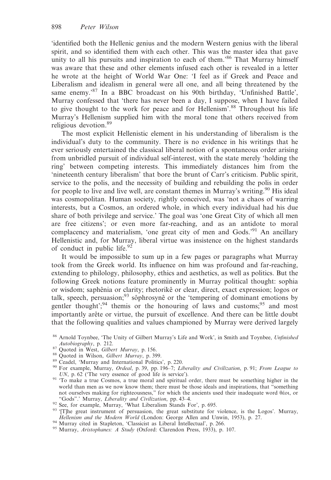'identified both the Hellenic genius and the modern Western genius with the liberal spirit, and so identified them with each other. This was the master idea that gave unity to all his pursuits and inspiration to each of them.'<sup>86</sup> That Murray himself was aware that these and other elements infused each other is revealed in a letter he wrote at the height of World War One: 'I feel as if Greek and Peace and Liberalism and idealism in general were all one, and all being threatened by the same enemy.'<sup>87</sup> In a BBC broadcast on his 90th birthday, 'Unfinished Battle', Murray confessed that 'there has never been a day, I suppose, when I have failed to give thought to the work for peace and for Hellenism'.88 Throughout his life Murray's Hellenism supplied him with the moral tone that others received from religious devotion.89

The most explicit Hellenistic element in his understanding of liberalism is the individual's duty to the community. There is no evidence in his writings that he ever seriously entertained the classical liberal notion of a spontaneous order arising from unbridled pursuit of individual self-interest, with the state merely 'holding the ring' between competing interests. This immediately distances him from the 'nineteenth century liberalism' that bore the brunt of Carr's criticism. Public spirit, service to the polis, and the necessity of building and rebuilding the polis in order for people to live and live well, are constant themes in Murray's writing.<sup>90</sup> His ideal was cosmopolitan. Human society, rightly conceived, was 'not a chaos of warring interests, but a Cosmos, an ordered whole, in which every individual had his due share of both privilege and service.' The goal was 'one Great City of which all men are free citizens'; or even more far-reaching, and as an antidote to moral complacency and materialism, 'one great city of men and Gods.'<sup>91</sup> An ancillary Hellenistic and, for Murray, liberal virtue was insistence on the highest standards of conduct in public life. $92$ 

It would be impossible to sum up in a few pages or paragraphs what Murray took from the Greek world. Its influence on him was profound and far-reaching, extending to philology, philosophy, ethics and aesthetics, as well as politics. But the following Greek notions feature prominently in Murray political thought: sophia or wisdom; saphênia or clarity; rhetorikê or clear, direct, exact expression; logos or talk, speech, persuasion;<sup>93</sup> sôphrosynê or the 'tempering of dominant emotions by gentler thought'; <sup>94</sup> themis or the honouring of laws and customs;  $95$  and most importantly arête or virtue, the pursuit of excellence. And there can be little doubt that the following qualities and values championed by Murray were derived largely

- 
- 
- 
- <sup>87</sup> Quoted in West, *Gilbert Murray*, p. 156.<br><sup>88</sup> Quoted in Wilson, *Gilbert Murray*, p. 399.<br><sup>89</sup> Ceadel, 'Murray and International Politics', p. 220.<br><sup>90</sup> For example, Murray, *Ordeal*, p. 39, pp. 196–7; *Liberality an*
- <sup>91</sup> 'To make a true Cosmos, a true moral and spiritual order, there must be something higher in the world than men as we now know them; there must be those ideals and inspirations, that "something not ourselves making for righteousness," for which the ancients used their inadequate word θέοι, or
- 
- "Gods".' Murray, *Liberality and Civilization*, pp. 43–4.<br><sup>92</sup> See, for example, Murray, 'What Liberalism Stands For', p. 695.<br><sup>93</sup> '[T]he great instrument of persuasion, the great substitute for violence, is the Logos'. M
- 
- <sup>94</sup> Murray cited in Stapleton, 'Classicist as Liberal Intellectual', p. 266.<br><sup>95</sup> Murray, Aristophanes: A Study (Oxford: Clarendon Press, 1933), p. 107.

<sup>86</sup> Arnold Toynbee, 'The Unity of Gilbert Murray's Life and Work', in Smith and Toynbee, *Unfinished*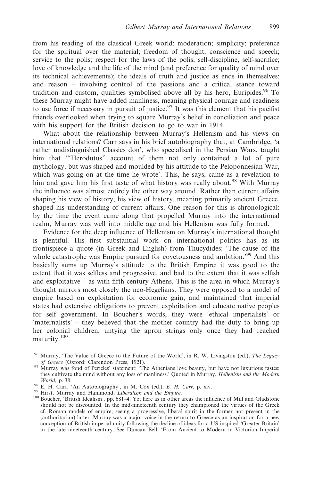from his reading of the classical Greek world: moderation; simplicity; preference for the spiritual over the material; freedom of thought, conscience and speech; service to the polis; respect for the laws of the polis; self-discipline, self-sacrifice; love of knowledge and the life of the mind (and preference for quality of mind over its technical achievements); the ideals of truth and justice as ends in themselves; and reason – involving control of the passions and a critical stance toward tradition and custom, qualities symbolised above all by his hero, Euripides.<sup>96</sup> To these Murray might have added manliness, meaning physical courage and readiness to use force if necessary in pursuit of justice.<sup>97</sup> It was this element that his pacifist friends overlooked when trying to square Murray's belief in conciliation and peace with his support for the British decision to go to war in 1914.

What about the relationship between Murray's Hellenism and his views on international relations? Carr says in his brief autobiography that, at Cambridge, 'a rather undistinguished Classics don', who specialised in the Persian Wars, taught him that '"Herodutus" account of them not only contained a lot of pure mythology, but was shaped and moulded by his attitude to the Peloponnesian War, which was going on at the time he wrote'. This, he says, came as a revelation to him and gave him his first taste of what history was really about.<sup>98</sup> With Murray the influence was almost entirely the other way around. Rather than current affairs shaping his view of history, his view of history, meaning primarily ancient Greece, shaped his understanding of current affairs. One reason for this is chronological: by the time the event came along that propelled Murray into the international realm, Murray was well into middle age and his Hellenism was fully formed.

Evidence for the deep influence of Hellenism on Murray's international thought is plentiful. His first substantial work on international politics has as its frontispiece a quote (in Greek and English) from Thucydides: 'The cause of the whole catastrophe was Empire pursued for covetousness and ambition.'<sup>99</sup> And this basically sums up Murray's attitude to the British Empire: it was good to the extent that it was selfless and progressive, and bad to the extent that it was selfish and exploitative – as with fifth century Athens. This is the area in which Murray's thought mirrors most closely the neo-Hegelians. They were opposed to a model of empire based on exploitation for economic gain, and maintained that imperial states had extensive obligations to prevent exploitation and educate native peoples for self government. In Boucher's words, they were 'ethical imperialists' or 'maternalists' – they believed that the mother country had the duty to bring up her colonial children, untying the apron strings only once they had reached maturity.100

<sup>96</sup> Murray, 'The Value of Greece to the Future of the World', in R. W. Livingston (ed.), *The Legacy*

<sup>&</sup>lt;sup>97</sup> Murray was fond of Pericles' statement: 'The Athenians love beauty, but have not luxurious tastes; they cultivate the mind without any loss of manliness.' Quoted in Murray, *Hellenism and the Modern World*, p. 38.<br><sup>98</sup> E. H. Carr, 'An Autobiography', in M. Cox (ed.), *E. H. Carr*, p. xiv.<br><sup>99</sup> Hirst, Murray and Hammond, *Liberalism and the Empire*.<br><sup>100</sup> Boucher, 'British Idealism', pp. 681–4. Yet here as in other ar

should not be discounted. In the mid-nineteenth century they championed the virtues of the Greek cf. Roman models of empire, seeing a progressive, liberal spirit in the former not present in the (authoritarian) latter. Murray was a major voice in the return to Greece as an inspiration for a new conception of British imperial unity following the decline of ideas for a US-inspired 'Greater Britain' in the late nineteenth century. See Duncan Bell, 'From Ancient to Modern in Victorian Imperial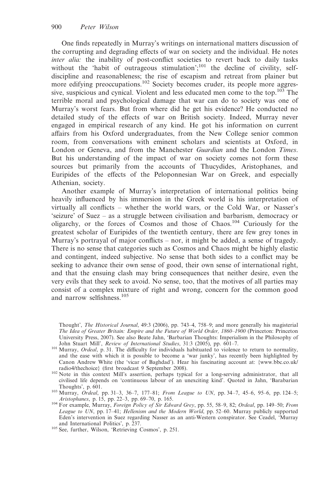One finds repeatedly in Murray's writings on international matters discussion of the corrupting and degrading effects of war on society and the individual. He notes *inter alia:* the inability of post-conflict societies to revert back to daily tasks without the 'habit of outrageous stimulation';<sup>101</sup> the decline of civility, selfdiscipline and reasonableness; the rise of escapism and retreat from plainer but more edifying preoccupations.<sup>102</sup> Society becomes cruder, its people more aggressive, suspicious and cynical. Violent and less educated men come to the top.103 The terrible moral and psychological damage that war can do to society was one of Murray's worst fears. But from where did he get his evidence? He conducted no detailed study of the effects of war on British society. Indeed, Murray never engaged in empirical research of any kind. He got his information on current affairs from his Oxford undergraduates, from the New College senior common room, from conversations with eminent scholars and scientists at Oxford, in London or Geneva, and from the Manchester *Guardian* and the London *Times*. But his understanding of the impact of war on society comes not form these sources but primarily from the accounts of Thucydides, Aristophanes, and Euripides of the effects of the Peloponnesian War on Greek, and especially Athenian, society.

Another example of Murray's interpretation of international politics being heavily influenced by his immersion in the Greek world is his interpretation of virtually all conflicts – whether the world wars, or the Cold War, or Nasser's 'seizure' of Suez – as a struggle between civilisation and barbarism, democracy or oligarchy, or the forces of Cosmos and those of Chaos.104 Curiously for the greatest scholar of Euripides of the twentieth century, there are few grey tones in Murray's portrayal of major conflicts – nor, it might be added, a sense of tragedy. There is no sense that categories such as Cosmos and Chaos might be highly elastic and contingent, indeed subjective. No sense that both sides to a conflict may be seeking to advance their own sense of good, their own sense of international right, and that the ensuing clash may bring consequences that neither desire, even the very evils that they seek to avoid. No sense, too, that the motives of all parties may consist of a complex mixture of right and wrong, concern for the common good and narrow selfishness.105

Thought', *The Historical Journal*, 49:3 (2006), pp. 743–4, 758–9; and more generally his magisterial *The Idea of Greater Britain: Empire and the Future of World Order, 1860–1900* (Princeton: Princeton University Press, 2007). See also Beate Jahn, 'Barbarian Thoughts: Imperialism in the Philosophy of John Stuart Mill', *Review of International Studies*, 31:3 (2005), pp. 601–7.

- <sup>101</sup> Murray, *Ordeal*, p. 31. The difficulty for individuals habituated to violence to return to normality, and the ease with which it is possible to become a 'war junky', has recently been highlighted by Canon Andrew White (the 'vicar of Baghdad'). Hear his fascinating account at: {www.bbc.co.uk/
- <sup>102</sup> Note in this context Mill's assertion, perhaps typical for a long-serving administrator, that all civilised life depends on 'continuous labour of an unexciting kind'. Quoted in Jahn, 'Barabarian
- <sup>103</sup> Murray, *Ordeal*, pp. 31–3, 36–7, 177–81; *From League to UN*, pp. 34–7, 45–6, 95–6, pp. 124–5; *Aristophanes*, p. 15, pp. 22–3, pp. 69–70, p. 165.
- *Aristophanes*, p. 15, pp. 22–3, pp. 69–70, p. 165. <sup>104</sup> For example, Murray, *Foreign Policy of Sir Edward Grey*, pp. 55, 58–9, 82; *Ordeal*, pp. 149–50; *From League to UN*, pp. 17–41; *Hellenism and the Modern World*, pp. 52–60. Murray publicly supported Eden's intervention in Suez regarding Nasser as an anti-Western conspirator. See Ceadel, 'Murray
- and International Politics', p. 237.<br><sup>105</sup> See, further, Wilson, 'Retrieving Cosmos', p. 251.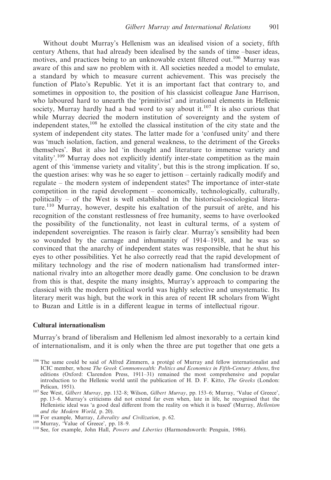Without doubt Murray's Hellenism was an idealised vision of a society, fifth century Athens, that had already been idealised by the sands of time –baser ideas, motives, and practices being to an unknowable extent filtered out.<sup>106</sup> Murray was aware of this and saw no problem with it. All societies needed a model to emulate, a standard by which to measure current achievement. This was precisely the function of Plato's Republic. Yet it is an important fact that contrary to, and sometimes in opposition to, the position of his classicist colleague Jane Harrison, who laboured hard to unearth the 'primitivist' and irrational elements in Hellenic society, Murray hardly had a bad word to say about it.<sup>107</sup> It is also curious that while Murray decried the modern institution of sovereignty and the system of independent states,  $108$  he extolled the classical institution of the city state and the system of independent city states. The latter made for a 'confused unity' and there was 'much isolation, faction, and general weakness, to the detriment of the Greeks themselves'. But it also led 'in thought and literature to immense variety and vitality'<sup>109</sup> Murray does not explicitly identify inter-state competition as the main agent of this 'immense variety and vitality', but this is the strong implication. If so, the question arises: why was he so eager to jettison – certainly radically modify and regulate – the modern system of independent states? The importance of inter-state competition in the rapid development – economically, technologically, culturally, politically – of the West is well established in the historical-sociological literature.<sup>110</sup> Murray, however, despite his exaltation of the pursuit of arête, and his recognition of the constant restlessness of free humanity, seems to have overlooked the possibility of the functionality, not least in cultural terms, of a system of independent sovereignties. The reason is fairly clear. Murray's sensibility had been so wounded by the carnage and inhumanity of 1914–1918, and he was so convinced that the anarchy of independent states was responsible, that he shut his eyes to other possibilities. Yet he also correctly read that the rapid development of military technology and the rise of modern nationalism had transformed international rivalry into an altogether more deadly game. One conclusion to be drawn from this is that, despite the many insights, Murray's approach to comparing the classical with the modern political world was highly selective and unsystematic. Its literary merit was high, but the work in this area of recent IR scholars from Wight to Buzan and Little is in a different league in terms of intellectual rigour.

#### **Cultural internationalism**

Murray's brand of liberalism and Hellenism led almost inexorably to a certain kind of internationalism, and it is only when the three are put together that one gets a

<sup>106</sup> The same could be said of Alfred Zimmern, a protégé of Murray and fellow internationalist and ICIC member, whose *The Greek Commonwealth: Politics and Economics in Fifth-Century Athens*, five editions (Oxford: Clarendon Press, 1911–31) remained the most comprehensive and popular introduction to the Hellenic world until the publication of H. D. F. Kitto, *The Greeks* (London: Pelican, 1951). <sup>107</sup> See West, *Gilbert Murray*, pp. 132–8; Wilson, *Gilbert Murray*, pp. 153–6; Murray, 'Value of Greece',

pp. 13–6. Murray's criticisms did not extend far even when, late in life, he recognised that the Hellenistic ideal was 'a good deal different from the reality on which it is based' (Murray, *Hellenism*

<sup>&</sup>lt;sup>108</sup> For example, Murray, *Liberality and Civilization*, p. 62.<br><sup>109</sup> Murray, 'Value of Greece', pp. 18–9.<br><sup>110</sup> See, for example, John Hall, *Powers and Liberties* (Harmondsworth: Penguin, 1986).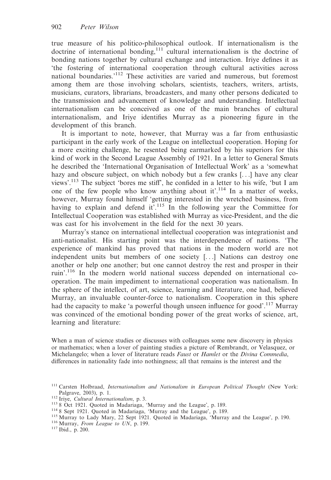true measure of his politico-philosophical outlook. If internationalism is the doctrine of international bonding,<sup>111</sup> cultural internationalism is the doctrine of bonding nations together by cultural exchange and interaction. Iriye defines it as 'the fostering of international cooperation through cultural activities across national boundaries.'112 These activities are varied and numerous, but foremost among them are those involving scholars, scientists, teachers, writers, artists, musicians, curators, librarians, broadcasters, and many other persons dedicated to the transmission and advancement of knowledge and understanding. Intellectual internationalism can be conceived as one of the main branches of cultural internationalism, and Iriye identifies Murray as a pioneering figure in the development of this branch.

It is important to note, however, that Murray was a far from enthusiastic participant in the early work of the League on intellectual cooperation. Hoping for a more exciting challenge, he resented being earmarked by his superiors for this kind of work in the Second League Assembly of 1921. In a letter to General Smuts he described the 'International Organisation of Intellectual Work' as a 'somewhat hazy and obscure subject, on which nobody but a few cranks [...] have any clear views'.113 The subject 'bores me stiff', he confided in a letter to his wife, 'but I am one of the few people who know anything about it'.<sup>114</sup> In a matter of weeks, however, Murray found himself 'getting interested in the wretched business, from having to explain and defend it.<sup>115</sup> In the following year the Committee for Intellectual Cooperation was established with Murray as vice-President, and the die was cast for his involvement in the field for the next 30 years.

Murray's stance on international intellectual cooperation was integrationist and anti-nationalist. His starting point was the interdependence of nations. 'The experience of mankind has proved that nations in the modern world are not independent units but members of one society [. . .] Nations can destroy one another or help one another; but one cannot destroy the rest and prosper in their ruin'.116 In the modern world national success depended on international cooperation. The main impediment to international cooperation was nationalism. In the sphere of the intellect, of art, science, learning and literature, one had, believed Murray, an invaluable counter-force to nationalism. Cooperation in this sphere had the capacity to make 'a powerful though unseen influence for good'.<sup>117</sup> Murray was convinced of the emotional bonding power of the great works of science, art, learning and literature:

When a man of science studies or discusses with colleagues some new discovery in physics or mathematics; when a lover of painting studies a picture of Rembrandt, or Velasquez, or Michelangelo; when a lover of literature reads *Faust* or *Hamlet* or the *Divina Commedia*, differences in nationality fade into nothingness; all that remains is the interest and the

<sup>111</sup> Carsten Holbraad, *Internationalism and Nationalism in European Political Thought* (New York:

<sup>&</sup>lt;sup>112</sup> Iriye, *Cultural Internationalism*, p. 3.<br><sup>113</sup> 8 Oct 1921. Quoted in Madariaga, 'Murray and the League', p. 189.<br><sup>114</sup> 8 Sept 1921. Quoted in Madariaga, 'Murray and the League', p. 189.<br><sup>115</sup> Murray to Lady Mary, 2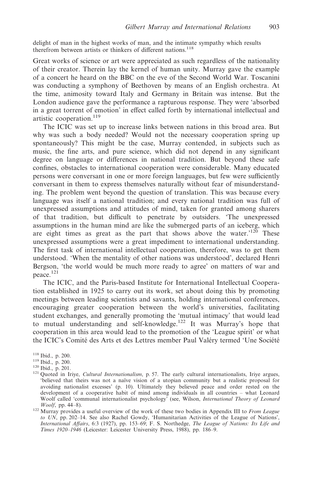delight of man in the highest works of man, and the intimate sympathy which results therefrom between artists or thinkers of different nations.<sup>118</sup>

Great works of science or art were appreciated as such regardless of the nationality of their creator. Therein lay the kernel of human unity. Murray gave the example of a concert he heard on the BBC on the eve of the Second World War. Toscanini was conducting a symphony of Beethoven by means of an English orchestra. At the time, animosity toward Italy and Germany in Britain was intense. But the London audience gave the performance a rapturous response. They were 'absorbed in a great torrent of emotion' in effect called forth by international intellectual and artistic cooperation. $119$ 

The ICIC was set up to increase links between nations in this broad area. But why was such a body needed? Would not the necessary cooperation spring up spontaneously? This might be the case, Murray contended, in subjects such as music, the fine arts, and pure science, which did not depend in any significant degree on language or differences in national tradition. But beyond these safe confines, obstacles to international cooperation were considerable. Many educated persons were conversant in one or more foreign languages, but few were sufficiently conversant in them to express themselves naturally without fear of misunderstanding. The problem went beyond the question of translation. This was because every language was itself a national tradition; and every national tradition was full of unexpressed assumptions and attitudes of mind, taken for granted among sharers of that tradition, but difficult to penetrate by outsiders. 'The unexpressed assumptions in the human mind are like the submerged parts of an iceberg, which are eight times as great as the part that shows above the water.'<sup>120</sup> These unexpressed assumptions were a great impediment to international understanding. The first task of international intellectual cooperation, therefore, was to get them understood. 'When the mentality of other nations was understood', declared Henri Bergson, 'the world would be much more ready to agree' on matters of war and peace.121

The ICIC, and the Paris-based Institute for International Intellectual Cooperation established in 1925 to carry out its work, set about doing this by promoting meetings between leading scientists and savants, holding international conferences, encouraging greater cooperation between the world's universities, facilitating student exchanges, and generally promoting the 'mutual intimacy' that would lead to mutual understanding and self-knowledge.<sup>122</sup> It was Murray's hope that cooperation in this area would lead to the promotion of the 'League spirit' or what the ICIC's Comité des Arts et des Lettres member Paul Valéry termed 'Une Société

<sup>&</sup>lt;sup>118</sup> Ibid., p. 200.<br><sup>119</sup> Ibid., p. 200.<br><sup>120</sup> Ibid., p. 201.<br><sup>121</sup> Quoted in Iriye, *Cultural Internationalism*, p. 57. The early cultural internationalists, Iriye argues, 'believed that theirs was not a naïve vision of a utopian community but a realistic proposal for avoiding nationalist excesses' (p. 10). Ultimately they believed peace and order rested on the development of a cooperative habit of mind among individuals in all countries – what Leonard Woolf called 'communal internationalist psychology' (see, Wilson, *International Theory of Leonard*

<sup>&</sup>lt;sup>122</sup> Murray provides a useful overview of the work of these two bodies in Appendix III to *From League to UN*, pp. 202–14. See also Rachel Gowdy, 'Humanitarian Activities of the League of Nations', *International Affairs*, 6:3 (1927), pp. 153–69; F. S. Northedge, *The League of Nations: Its Life and Times 1920–1946* (Leicester: Leicester University Press, 1988), pp. 186–9.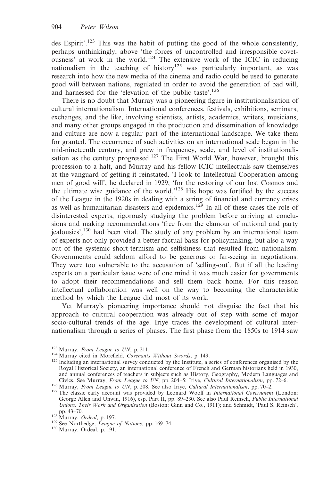des Espirit'.123 This was the habit of putting the good of the whole consistently, perhaps unthinkingly, above 'the forces of uncontrolled and irresponsible covetousness' at work in the world.124 The extensive work of the ICIC in reducing nationalism in the teaching of history<sup>125</sup> was particularly important, as was research into how the new media of the cinema and radio could be used to generate good will between nations, regulated in order to avoid the generation of bad will, and harnessed for the 'elevation of the public taste'.126

There is no doubt that Murray was a pioneering figure in institutionalisation of cultural internationalism. International conferences, festivals, exhibitions, seminars, exchanges, and the like, involving scientists, artists, academics, writers, musicians, and many other groups engaged in the production and dissemination of knowledge and culture are now a regular part of the international landscape. We take them for granted. The occurrence of such activities on an international scale began in the mid-nineteenth century, and grew in frequency, scale, and level of institutionalisation as the century progressed.<sup>127</sup> The First World War, however, brought this procession to a halt, and Murray and his fellow ICIC intellectuals saw themselves at the vanguard of getting it reinstated. 'I look to Intellectual Cooperation among men of good will', he declared in 1929, 'for the restoring of our lost Cosmos and the ultimate wise guidance of the world.<sup> $128$ </sup> His hope was fortified by the success of the League in the 1920s in dealing with a string of financial and currency crises as well as humanitarian disasters and epidemics.129 In all of these cases the role of disinterested experts, rigorously studying the problem before arriving at conclusions and making recommendations 'free from the clamour of national and party jealousies',<sup>130</sup> had been vital. The study of any problem by an international team of experts not only provided a better factual basis for policymaking, but also a way out of the systemic short-termism and selfishness that resulted from nationalism. Governments could seldom afford to be generous or far-seeing in negotiations. They were too vulnerable to the accusation of 'selling-out'. But if all the leading experts on a particular issue were of one mind it was much easier for governments to adopt their recommendations and sell them back home. For this reason intellectual collaboration was well on the way to becoming the characteristic method by which the League did most of its work.

Yet Murray's pioneering importance should not disguise the fact that his approach to cultural cooperation was already out of step with some of major socio-cultural trends of the age. Iriye traces the development of cultural internationalism through a series of phases. The first phase from the 1850s to 1914 saw

<sup>&</sup>lt;sup>123</sup> Murray, *From League to UN*, p. 211.<br><sup>124</sup> Murray cited in Morefield, *Covenants Without Swords*, p. 149.<br><sup>125</sup> Including an international survey conducted by the Institute, a series of conferences organised by the Royal Historical Society, an international conference of French and German historians held in 1930, and annual conferences of teachers in subjects such as History, Geography, Modern Languages and Civics. See Murray, From League to UN, pp. 204-5; Iriye, Cultural Internationalism, pp. 72-6.

<sup>&</sup>lt;sup>126</sup> Murray, *From League to UN*, p. 208. See also Iriye, *Cultural Internationalism*, pp. 70–2.<br><sup>127</sup> The classic early account was provided by Leonard Woolf in *International Government* (London: George Allen and Unwin, 1916), esp. Part II, pp. 89–230. See also Paul Reinsch, *Public International Unions, Their Work and Organisation* (Boston: Ginn and Co., 1911); and Schmidt, 'Paul S. Reinsch',

<sup>&</sup>lt;sup>128</sup> Murray, *Ordeal*, p. 197.<br><sup>129</sup> See Northedge, *League of Nations*, pp. 169–74.<br><sup>130</sup> Murray, Ordeal, p. 191.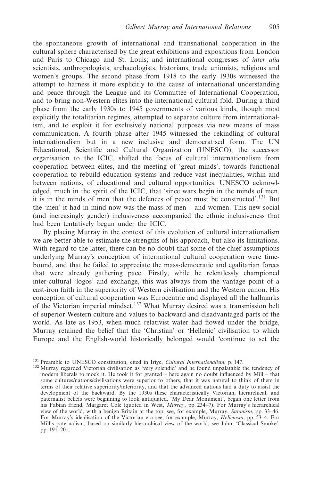the spontaneous growth of international and transnational cooperation in the cultural sphere characterised by the great exhibitions and expositions from London and Paris to Chicago and St. Louis; and international congresses of *inter alia* scientists, anthropologists, archaeologists, historians, trade unionists, religious and women's groups. The second phase from 1918 to the early 1930s witnessed the attempt to harness it more explicitly to the cause of international understanding and peace through the League and its Committee of International Cooperation, and to bring non-Western elites into the international cultural fold. During a third phase from the early 1930s to 1945 governments of various kinds, though most explicitly the totalitarian regimes, attempted to separate culture from internationalism, and to exploit it for exclusively national purposes via new means of mass communication. A fourth phase after 1945 witnessed the rekindling of cultural internationalism but in a new inclusive and democratised form. The UN Educational, Scientific and Cultural Organization (UNESCO), the successor organisation to the ICIC, shifted the focus of cultural internationalism from cooperation between elites, and the meeting of 'great minds', towards functional cooperation to rebuild education systems and reduce vast inequalities, within and between nations, of educational and cultural opportunities. UNESCO acknowledged, much in the spirit of the ICIC, that 'since wars begin in the minds of men, it is in the minds of men that the defences of peace must be constructed'.<sup>131</sup> But the 'men' it had in mind now was the mass of men – and women. This new social (and increasingly gender) inclusiveness accompanied the ethnic inclusiveness that had been tentatively begun under the ICIC.

By placing Murray in the context of this evolution of cultural internationalism we are better able to estimate the strengths of his approach, but also its limitations. With regard to the latter, there can be no doubt that some of the chief assumptions underlying Murray's conception of international cultural cooperation were timebound, and that he failed to appreciate the mass-democratic and egalitarian forces that were already gathering pace. Firstly, while he relentlessly championed inter-cultural 'logos' and exchange, this was always from the vantage point of a cast-iron faith in the superiority of Western civilisation and the Western canon. His conception of cultural cooperation was Eurocentric and displayed all the hallmarks of the Victorian imperial mindset.132 What Murray desired was a transmission belt of superior Western culture and values to backward and disadvantaged parts of the world. As late as 1953, when much relativist water had flowed under the bridge, Murray retained the belief that the 'Christian' or 'Hellenic' civilisation to which Europe and the English-world historically belonged would 'continue to set the

<sup>&</sup>lt;sup>131</sup> Preamble to UNESCO constitution, cited in Iriye, *Cultural Internationalism*, p. 147.<br><sup>132</sup> Murray regarded Victorian civilisation as 'very splendid' and he found unpalatable the tendency of modern liberals to mock it. He took it for granted – here again no doubt influenced by Mill – that some cultures/nations/civilisations were superior to others, that it was natural to think of them in terms of their relative superiority/inferiority, and that the advanced nations had a duty to assist the development of the backward. By the 1930s these characteristically Victorian, hierarchical, and paternalist beliefs were beginning to look antiquated. 'My Dear Monument', began one letter from his Fabian friend, Margaret Cole (quoted in West, *Murray*, pp. 234–7). For Murray's hierarchical view of the world, with a benign Britain at the top, see, for example, Murray, *Satanism*, pp. 33–46. For Murray's idealisation of the Victorian era see, for example, Murray, *Hellenism*, pp. 53–4. For Mill's paternalism, based on similarly hierarchical view of the world, see Jahn, 'Classical Smoke', pp. 191–201.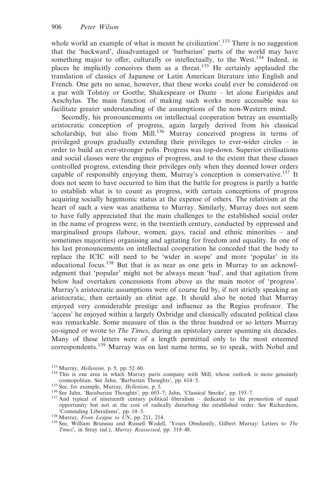whole world an example of what is meant be civilization'.<sup>133</sup> There is no suggestion that the 'backward', disadvantaged or 'barbarian' parts of the world may have something major to offer, culturally or intellectually, to the West.<sup>134</sup> Indeed, in places he implicitly conceives them as a threat.<sup>135</sup> He certainly applauded the translation of classics of Japanese or Latin American literature into English and French. One gets no sense, however, that these works could ever be considered on a par with Tolstoy or Goethe, Shakespeare or Dante – let alone Euripides and Aeschylus. The main function of making such works more accessible was to facilitate greater understanding of the assumptions of the non-Western mind.

Secondly, his pronouncements on intellectual cooperation betray an essentially aristocratic conception of progress, again largely derived from his classical scholarship, but also from Mill.<sup>136</sup> Murray conceived progress in terms of privileged groups gradually extending their privileges to ever-wider circles – in order to build an ever-stronger polis. Progress was top-down. Superior civilisations and social classes were the engines of progress, and to the extent that these classes controlled progress, extending their privileges only when they deemed lower orders capable of responsibly enjoying them, Murray's conception is conservative.<sup>137</sup> It does not seem to have occurred to him that the battle for progress is partly a battle to establish what is to count as progress, with certain conceptions of progress acquiring socially hegemonic status at the expense of others. The relativism at the heart of such a view was anathema to Murray. Similarly, Murray does not seem to have fully appreciated that the main challenges to the established social order in the name of progress were, in the twentieth century, conducted by oppressed and marginalised groups (labour, women, gays, racial and ethnic minorities – and sometimes majorities) organising and agitating for freedom and equality. In one of his last pronouncements on intellectual cooperation he conceded that the body to replace the ICIC will need to be 'wider in scope' and more 'popular' in its educational focus.138 But that is as near as one gets in Murray to an acknowledgment that 'popular' might not be always mean 'bad', and that agitation from below had overtaken concessions from above as the main motor of 'progress'. Murray's aristocratic assumptions were of course fed by, if not strictly speaking an aristocratic, then certainly an elitist age. It should also be noted that Murray enjoyed very considerable prestige and influence as the Regius professor. The 'access' he enjoyed within a largely Oxbridge and classically educated political class was remarkable. Some measure of this is the three hundred or so letters Murray co-signed or wrote to *The Times*, during an epistolary career spanning six decades. Many of these letters were of a length permitted only to the most esteemed correspondents.139 Murray was on last name terms, so to speak, with Nobel and

- 
- 
- <sup>135</sup> See, for example, Murray, *Hellenism*, p. 5.<br><sup>136</sup> See, Jahn, 'Barabarian Thoughts', pp. 603–7; Jahn, 'Classical Smoke', pp. 193–7.<br><sup>137</sup> And typical of nineteenth century political liberalism dedicated to the prom opportunity but not at the cost of radically disturbing the established order. See Richardson,
- 
- <sup>138</sup> Murray, *From League to UN*, pp. 211, 214.<br><sup>139</sup> See, William Bruneau and Russell Wodell, 'Yours Obediently, Gilbert Murray: Letters to *The Times*', in Stray (ed.), *Murray Reassessed*, pp. 319–48.

<sup>&</sup>lt;sup>133</sup> Murray, *Hellenism*, p. 5, pp. 52–60.<br><sup>134</sup> This is one area in which Murray parts company with Mill, whose outlook is more genuinely<br>cosmopolitan. See Jahn, 'Barbarian Thoughts', pp. 614–5.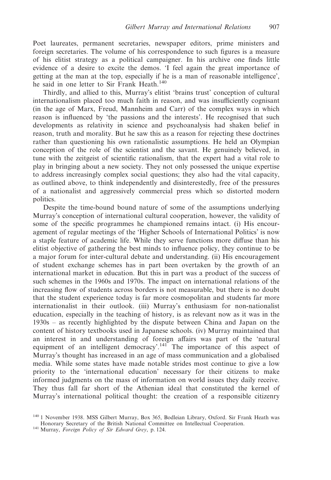Poet laureates, permanent secretaries, newspaper editors, prime ministers and foreign secretaries. The volume of his correspondence to such figures is a measure of his elitist strategy as a political campaigner. In his archive one finds little evidence of a desire to excite the demos. 'I feel again the great importance of getting at the man at the top, especially if he is a man of reasonable intelligence', he said in one letter to Sir Frank Heath.<sup>140</sup>

Thirdly, and allied to this, Murray's elitist 'brains trust' conception of cultural internationalism placed too much faith in reason, and was insufficiently cognisant (in the age of Marx, Freud, Mannheim and Carr) of the complex ways in which reason is influenced by 'the passions and the interests'. He recognised that such developments as relativity in science and psychoanalysis had shaken belief in reason, truth and morality. But he saw this as a reason for rejecting these doctrines rather than questioning his own rationalistic assumptions. He held an Olympian conception of the role of the scientist and the savant. He genuinely believed, in tune with the zeitgeist of scientific rationalism, that the expert had a vital role to play in bringing about a new society. They not only possessed the unique expertise to address increasingly complex social questions; they also had the vital capacity, as outlined above, to think independently and disinterestedly, free of the pressures of a nationalist and aggressively commercial press which so distorted modern politics.

Despite the time-bound bound nature of some of the assumptions underlying Murray's conception of international cultural cooperation, however, the validity of some of the specific programmes he championed remains intact. (i) His encouragement of regular meetings of the 'Higher Schools of International Politics' is now a staple feature of academic life. While they serve functions more diffuse than his elitist objective of gathering the best minds to influence policy, they continue to be a major forum for inter-cultural debate and understanding. (ii) His encouragement of student exchange schemes has in part been overtaken by the growth of an international market in education. But this in part was a product of the success of such schemes in the 1960s and 1970s. The impact on international relations of the increasing flow of students across borders is not measurable, but there is no doubt that the student experience today is far more cosmopolitan and students far more internationalist in their outlook. (iii) Murray's enthusiasm for non-nationalist education, especially in the teaching of history, is as relevant now as it was in the 1930s – as recently highlighted by the dispute between China and Japan on the content of history textbooks used in Japanese schools. (iv) Murray maintained that an interest in and understanding of foreign affairs was part of the 'natural equipment of an intelligent democracy'.<sup>141</sup> The importance of this aspect of Murray's thought has increased in an age of mass communication and a globalised media. While some states have made notable strides most continue to give a low priority to the 'international education' necessary for their citizens to make informed judgments on the mass of information on world issues they daily receive. They thus fall far short of the Athenian ideal that constituted the kernel of Murray's international political thought: the creation of a responsible citizenry

<sup>140</sup> 1 November 1938. MSS Gilbert Murray, Box 365, Bodleian Library, Oxford. Sir Frank Heath was Honorary Secretary of the British National Committee on Intellectual Cooperation. <sup>141</sup> Murray, *Foreign Policy of Sir Edward Grey*, p. 124.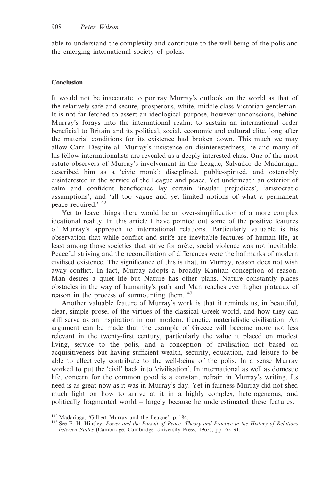able to understand the complexity and contribute to the well-being of the polis and the emerging international society of poleis.

#### **Conclusion**

It would not be inaccurate to portray Murray's outlook on the world as that of the relatively safe and secure, prosperous, white, middle-class Victorian gentleman. It is not far-fetched to assert an ideological purpose, however unconscious, behind Murray's forays into the international realm: to sustain an international order beneficial to Britain and its political, social, economic and cultural elite, long after the material conditions for its existence had broken down. This much we may allow Carr. Despite all Murray's insistence on disinterestedness, he and many of his fellow internationalists are revealed as a deeply interested class. One of the most astute observers of Murray's involvement in the League, Salvador de Madariaga, described him as a 'civic monk': disciplined, public-spirited, and ostensibly disinterested in the service of the League and peace. Yet underneath an exterior of calm and confident beneficence lay certain 'insular prejudices', 'aristocratic assumptions', and 'all too vague and yet limited notions of what a permanent peace required.'142

Yet to leave things there would be an over-simplification of a more complex ideational reality. In this article I have pointed out some of the positive features of Murray's approach to international relations. Particularly valuable is his observation that while conflict and strife are inevitable features of human life, at least among those societies that strive for arête, social violence was not inevitable. Peaceful striving and the reconciliation of differences were the hallmarks of modern civilised existence. The significance of this is that, in Murray, reason does not wish away conflict. In fact, Murray adopts a broadly Kantian conception of reason. Man desires a quiet life but Nature has other plans. Nature constantly places obstacles in the way of humanity's path and Man reaches ever higher plateaux of reason in the process of surmounting them.<sup>143</sup>

Another valuable feature of Murray's work is that it reminds us, in beautiful, clear, simple prose, of the virtues of the classical Greek world, and how they can still serve as an inspiration in our modern, frenetic, materialistic civilisation. An argument can be made that the example of Greece will become more not less relevant in the twenty-first century, particularly the value it placed on modest living, service to the polis, and a conception of civilisation not based on acquisitiveness but having sufficient wealth, security, education, and leisure to be able to effectively contribute to the well-being of the polis. In a sense Murray worked to put the 'civil' back into 'civilisation'. In international as well as domestic life, concern for the common good is a constant refrain in Murray's writing. Its need is as great now as it was in Murray's day. Yet in fairness Murray did not shed much light on how to arrive at it in a highly complex, heterogeneous, and politically fragmented world – largely because he underestimated these features.

<sup>&</sup>lt;sup>142</sup> Madariaga, 'Gilbert Murray and the League', p. 184.<br><sup>143</sup> See F. H. Hinsley, *Power and the Pursuit of Peace: Theory and Practice in the History of Relations between States* (Cambridge: Cambridge University Press, 1963), pp. 62–91.